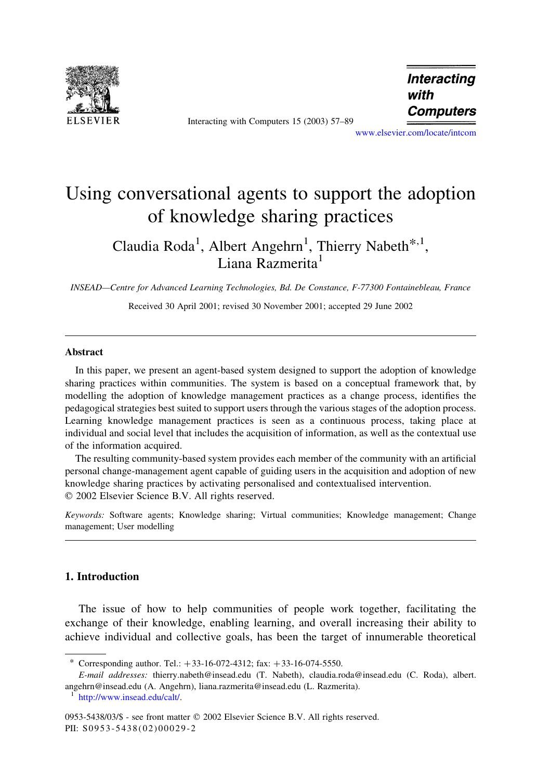

Interacting with Computers 15 (2003) 57–89

**Interacting** with Computers

[www.elsevier.com/locate/intcom](http://www.elsevier.com/locate/intcom)

# Using conversational agents to support the adoption of knowledge sharing practices

Claudia Roda<sup>1</sup>, Albert Angehrn<sup>1</sup>, Thierry Nabeth<sup>\*,1</sup>, Liana Razmerita<sup>1</sup>

INSEAD—Centre for Advanced Learning Technologies, Bd. De Constance, F-77300 Fontainebleau, France

Received 30 April 2001; revised 30 November 2001; accepted 29 June 2002

#### Abstract

In this paper, we present an agent-based system designed to support the adoption of knowledge sharing practices within communities. The system is based on a conceptual framework that, by modelling the adoption of knowledge management practices as a change process, identifies the pedagogical strategies best suited to support users through the various stages of the adoption process. Learning knowledge management practices is seen as a continuous process, taking place at individual and social level that includes the acquisition of information, as well as the contextual use of the information acquired.

The resulting community-based system provides each member of the community with an artificial personal change-management agent capable of guiding users in the acquisition and adoption of new knowledge sharing practices by activating personalised and contextualised intervention.  $© 2002 Elsevier Science B.V. All rights reserved.$ 

Keywords: Software agents; Knowledge sharing; Virtual communities; Knowledge management; Change management; User modelling

# 1. Introduction

The issue of how to help communities of people work together, facilitating the exchange of their knowledge, enabling learning, and overall increasing their ability to achieve individual and collective goals, has been the target of innumerable theoretical

Corresponding author. Tel.:  $+ 33-16-072-4312$ ; fax:  $+ 33-16-074-5550$ .

E-mail addresses: thierry.nabeth@insead.edu (T. Nabeth), claudia.roda@insead.edu (C. Roda), albert. angehrn@insead.edu (A. Angehrn), liana.razmerita@insead.edu (L. Razmerita).

<sup>1</sup> [http://www.insead.edu/calt/.](http://www.insead.edu/calt/)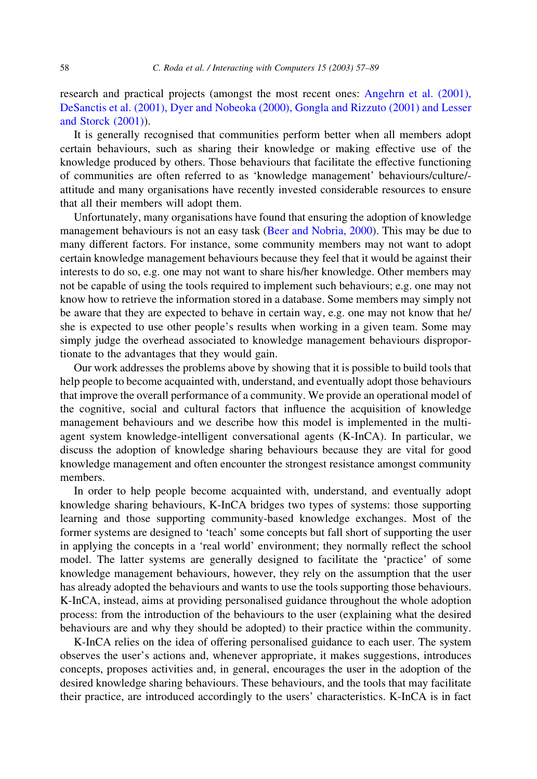research and practical projects (amongst the most recent ones: [Angehrn et al. \(2001\),](#page-29-0) [DeSanctis et al. \(2001\), Dyer and Nobeoka \(2000\), Gongla and Rizzuto \(2001\) and Lesser](#page-29-0) [and Storck \(2001\)\)](#page-29-0).

It is generally recognised that communities perform better when all members adopt certain behaviours, such as sharing their knowledge or making effective use of the knowledge produced by others. Those behaviours that facilitate the effective functioning of communities are often referred to as 'knowledge management' behaviours/culture/ attitude and many organisations have recently invested considerable resources to ensure that all their members will adopt them.

Unfortunately, many organisations have found that ensuring the adoption of knowledge management behaviours is not an easy task ([Beer and Nobria, 2000\)](#page-29-0). This may be due to many different factors. For instance, some community members may not want to adopt certain knowledge management behaviours because they feel that it would be against their interests to do so, e.g. one may not want to share his/her knowledge. Other members may not be capable of using the tools required to implement such behaviours; e.g. one may not know how to retrieve the information stored in a database. Some members may simply not be aware that they are expected to behave in certain way, e.g. one may not know that he/ she is expected to use other people's results when working in a given team. Some may simply judge the overhead associated to knowledge management behaviours disproportionate to the advantages that they would gain.

Our work addresses the problems above by showing that it is possible to build tools that help people to become acquainted with, understand, and eventually adopt those behaviours that improve the overall performance of a community. We provide an operational model of the cognitive, social and cultural factors that influence the acquisition of knowledge management behaviours and we describe how this model is implemented in the multiagent system knowledge-intelligent conversational agents (K-InCA). In particular, we discuss the adoption of knowledge sharing behaviours because they are vital for good knowledge management and often encounter the strongest resistance amongst community members.

In order to help people become acquainted with, understand, and eventually adopt knowledge sharing behaviours, K-InCA bridges two types of systems: those supporting learning and those supporting community-based knowledge exchanges. Most of the former systems are designed to 'teach' some concepts but fall short of supporting the user in applying the concepts in a 'real world' environment; they normally reflect the school model. The latter systems are generally designed to facilitate the 'practice' of some knowledge management behaviours, however, they rely on the assumption that the user has already adopted the behaviours and wants to use the tools supporting those behaviours. K-InCA, instead, aims at providing personalised guidance throughout the whole adoption process: from the introduction of the behaviours to the user (explaining what the desired behaviours are and why they should be adopted) to their practice within the community.

K-InCA relies on the idea of offering personalised guidance to each user. The system observes the user's actions and, whenever appropriate, it makes suggestions, introduces concepts, proposes activities and, in general, encourages the user in the adoption of the desired knowledge sharing behaviours. These behaviours, and the tools that may facilitate their practice, are introduced accordingly to the users' characteristics. K-InCA is in fact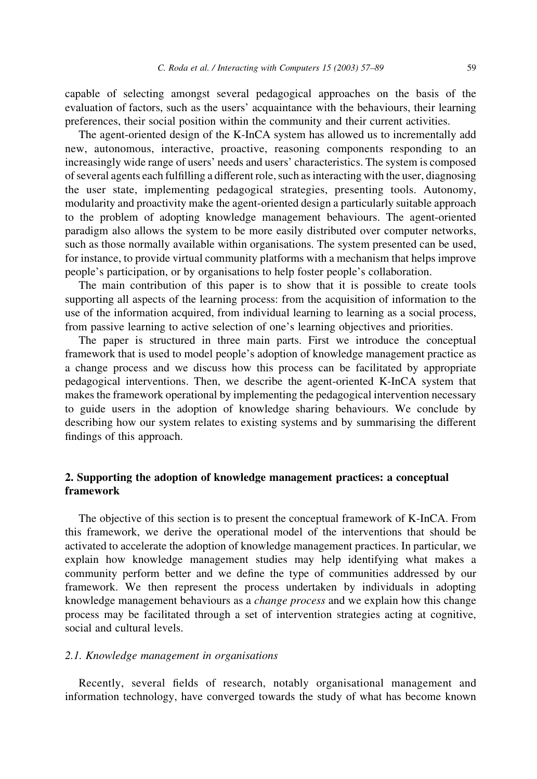capable of selecting amongst several pedagogical approaches on the basis of the evaluation of factors, such as the users' acquaintance with the behaviours, their learning preferences, their social position within the community and their current activities.

The agent-oriented design of the K-InCA system has allowed us to incrementally add new, autonomous, interactive, proactive, reasoning components responding to an increasingly wide range of users' needs and users' characteristics. The system is composed of several agents each fulfilling a different role, such as interacting with the user, diagnosing the user state, implementing pedagogical strategies, presenting tools. Autonomy, modularity and proactivity make the agent-oriented design a particularly suitable approach to the problem of adopting knowledge management behaviours. The agent-oriented paradigm also allows the system to be more easily distributed over computer networks, such as those normally available within organisations. The system presented can be used, for instance, to provide virtual community platforms with a mechanism that helps improve people's participation, or by organisations to help foster people's collaboration.

The main contribution of this paper is to show that it is possible to create tools supporting all aspects of the learning process: from the acquisition of information to the use of the information acquired, from individual learning to learning as a social process, from passive learning to active selection of one's learning objectives and priorities.

The paper is structured in three main parts. First we introduce the conceptual framework that is used to model people's adoption of knowledge management practice as a change process and we discuss how this process can be facilitated by appropriate pedagogical interventions. Then, we describe the agent-oriented K-InCA system that makes the framework operational by implementing the pedagogical intervention necessary to guide users in the adoption of knowledge sharing behaviours. We conclude by describing how our system relates to existing systems and by summarising the different findings of this approach.

# 2. Supporting the adoption of knowledge management practices: a conceptual framework

The objective of this section is to present the conceptual framework of K-InCA. From this framework, we derive the operational model of the interventions that should be activated to accelerate the adoption of knowledge management practices. In particular, we explain how knowledge management studies may help identifying what makes a community perform better and we define the type of communities addressed by our framework. We then represent the process undertaken by individuals in adopting knowledge management behaviours as a change process and we explain how this change process may be facilitated through a set of intervention strategies acting at cognitive, social and cultural levels.

## 2.1. Knowledge management in organisations

Recently, several fields of research, notably organisational management and information technology, have converged towards the study of what has become known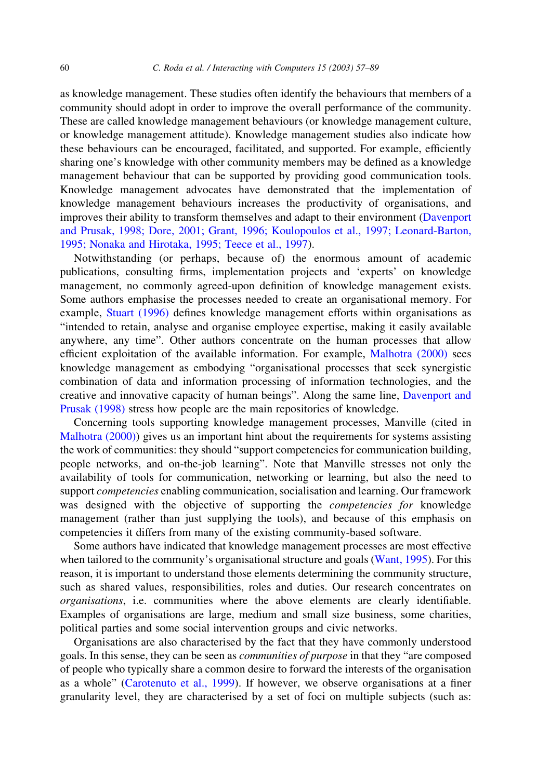as knowledge management. These studies often identify the behaviours that members of a community should adopt in order to improve the overall performance of the community. These are called knowledge management behaviours (or knowledge management culture, or knowledge management attitude). Knowledge management studies also indicate how these behaviours can be encouraged, facilitated, and supported. For example, efficiently sharing one's knowledge with other community members may be defined as a knowledge management behaviour that can be supported by providing good communication tools. Knowledge management advocates have demonstrated that the implementation of knowledge management behaviours increases the productivity of organisations, and improves their ability to transform themselves and adapt to their environment ([Davenport](#page-30-0) [and Prusak, 1998; Dore, 2001; Grant, 1996; Koulopoulos et al., 1997; Leonard-Barton,](#page-30-0) [1995; Nonaka and Hirotaka, 1995; Teece et al., 1997](#page-30-0)).

Notwithstanding (or perhaps, because of) the enormous amount of academic publications, consulting firms, implementation projects and 'experts' on knowledge management, no commonly agreed-upon definition of knowledge management exists. Some authors emphasise the processes needed to create an organisational memory. For example, [Stuart \(1996\)](#page-32-0) defines knowledge management efforts within organisations as "intended to retain, analyse and organise employee expertise, making it easily available anywhere, any time". Other authors concentrate on the human processes that allow efficient exploitation of the available information. For example, [Malhotra \(2000\)](#page-31-0) sees knowledge management as embodying "organisational processes that seek synergistic combination of data and information processing of information technologies, and the creative and innovative capacity of human beings". Along the same line, [Davenport and](#page-30-0) [Prusak \(1998\)](#page-30-0) stress how people are the main repositories of knowledge.

Concerning tools supporting knowledge management processes, Manville (cited in [Malhotra \(2000\)\)](#page-31-0) gives us an important hint about the requirements for systems assisting the work of communities: they should "support competencies for communication building, people networks, and on-the-job learning". Note that Manville stresses not only the availability of tools for communication, networking or learning, but also the need to support *competencies* enabling communication, socialisation and learning. Our framework was designed with the objective of supporting the competencies for knowledge management (rather than just supplying the tools), and because of this emphasis on competencies it differs from many of the existing community-based software.

Some authors have indicated that knowledge management processes are most effective when tailored to the community's organisational structure and goals ([Want, 1995\)](#page-32-0). For this reason, it is important to understand those elements determining the community structure, such as shared values, responsibilities, roles and duties. Our research concentrates on organisations, i.e. communities where the above elements are clearly identifiable. Examples of organisations are large, medium and small size business, some charities, political parties and some social intervention groups and civic networks.

Organisations are also characterised by the fact that they have commonly understood goals. In this sense, they can be seen as *communities of purpose* in that they "are composed of people who typically share a common desire to forward the interests of the organisation as a whole" [\(Carotenuto et al., 1999\)](#page-29-0). If however, we observe organisations at a finer granularity level, they are characterised by a set of foci on multiple subjects (such as: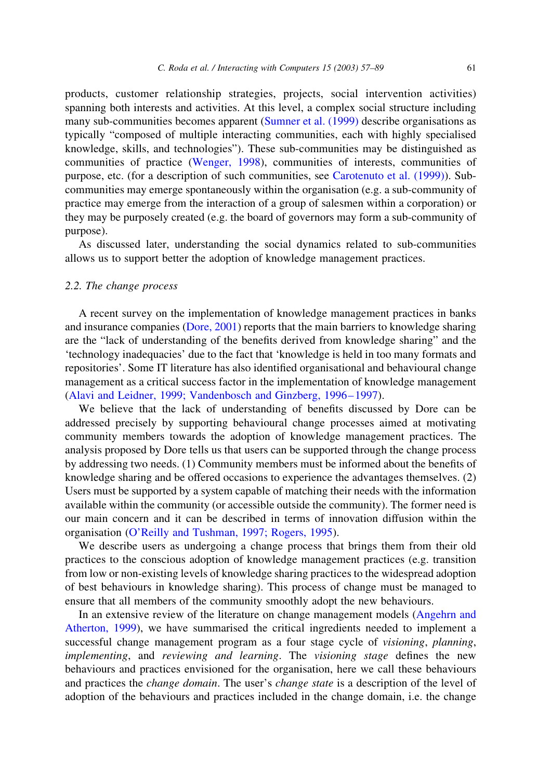products, customer relationship strategies, projects, social intervention activities) spanning both interests and activities. At this level, a complex social structure including many sub-communities becomes apparent ([Sumner et al. \(1999\)](#page-32-0) describe organisations as typically "composed of multiple interacting communities, each with highly specialised knowledge, skills, and technologies"). These sub-communities may be distinguished as communities of practice ([Wenger, 1998](#page-32-0)), communities of interests, communities of purpose, etc. (for a description of such communities, see [Carotenuto et al. \(1999\)\)](#page-29-0). Subcommunities may emerge spontaneously within the organisation (e.g. a sub-community of practice may emerge from the interaction of a group of salesmen within a corporation) or they may be purposely created (e.g. the board of governors may form a sub-community of purpose).

As discussed later, understanding the social dynamics related to sub-communities allows us to support better the adoption of knowledge management practices.

# 2.2. The change process

A recent survey on the implementation of knowledge management practices in banks and insurance companies [\(Dore, 2001](#page-30-0)) reports that the main barriers to knowledge sharing are the "lack of understanding of the benefits derived from knowledge sharing" and the 'technology inadequacies' due to the fact that 'knowledge is held in too many formats and repositories'. Some IT literature has also identified organisational and behavioural change management as a critical success factor in the implementation of knowledge management [\(Alavi and Leidner, 1999; Vandenbosch and Ginzberg, 1996–1997\)](#page-29-0).

We believe that the lack of understanding of benefits discussed by Dore can be addressed precisely by supporting behavioural change processes aimed at motivating community members towards the adoption of knowledge management practices. The analysis proposed by Dore tells us that users can be supported through the change process by addressing two needs. (1) Community members must be informed about the benefits of knowledge sharing and be offered occasions to experience the advantages themselves. (2) Users must be supported by a system capable of matching their needs with the information available within the community (or accessible outside the community). The former need is our main concern and it can be described in terms of innovation diffusion within the organisation [\(O'Reilly and Tushman, 1997; Rogers, 1995](#page-31-0)).

We describe users as undergoing a change process that brings them from their old practices to the conscious adoption of knowledge management practices (e.g. transition from low or non-existing levels of knowledge sharing practices to the widespread adoption of best behaviours in knowledge sharing). This process of change must be managed to ensure that all members of the community smoothly adopt the new behaviours.

In an extensive review of the literature on change management models ([Angehrn and](#page-29-0) [Atherton, 1999](#page-29-0)), we have summarised the critical ingredients needed to implement a successful change management program as a four stage cycle of visioning, planning, implementing, and reviewing and learning. The visioning stage defines the new behaviours and practices envisioned for the organisation, here we call these behaviours and practices the *change domain*. The user's *change state* is a description of the level of adoption of the behaviours and practices included in the change domain, i.e. the change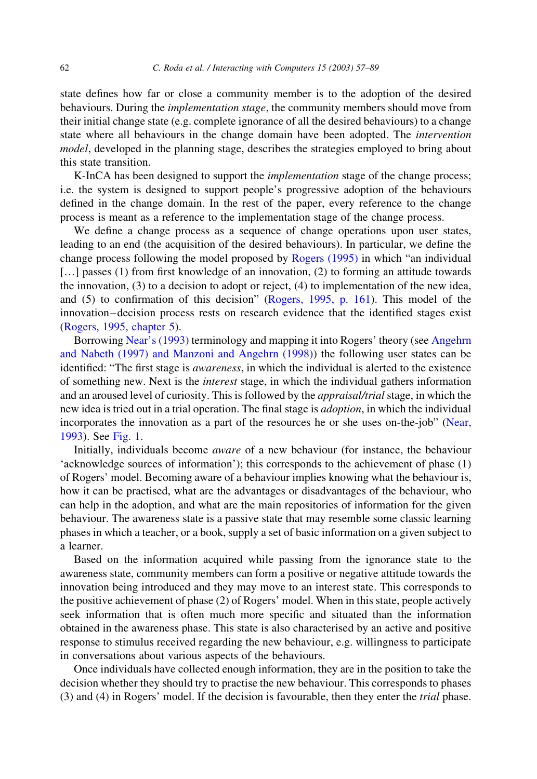state defines how far or close a community member is to the adoption of the desired behaviours. During the *implementation stage*, the community members should move from their initial change state (e.g. complete ignorance of all the desired behaviours) to a change state where all behaviours in the change domain have been adopted. The intervention model, developed in the planning stage, describes the strategies employed to bring about this state transition.

K-InCA has been designed to support the *implementation* stage of the change process; i.e. the system is designed to support people's progressive adoption of the behaviours defined in the change domain. In the rest of the paper, every reference to the change process is meant as a reference to the implementation stage of the change process.

We define a change process as a sequence of change operations upon user states, leading to an end (the acquisition of the desired behaviours). In particular, we define the change process following the model proposed by [Rogers \(1995\)](#page-31-0) in which "an individual [...] passes (1) from first knowledge of an innovation, (2) to forming an attitude towards the innovation, (3) to a decision to adopt or reject, (4) to implementation of the new idea, and (5) to confirmation of this decision" ([Rogers, 1995, p. 161](#page-31-0)). This model of the innovation–decision process rests on research evidence that the identified stages exist ([Rogers, 1995, chapter 5\)](#page-31-0).

Borrowing [Near's \(1993\)](#page-31-0) terminology and mapping it into Rogers' theory (see [Angehrn](#page-29-0) [and Nabeth \(1997\) and Manzoni and Angehrn \(1998\)](#page-29-0)) the following user states can be identified: "The first stage is awareness, in which the individual is alerted to the existence of something new. Next is the interest stage, in which the individual gathers information and an aroused level of curiosity. This is followed by the *appraisal/trial* stage, in which the new idea is tried out in a trial operation. The final stage is adoption, in which the individual incorporates the innovation as a part of the resources he or she uses on-the-job" [\(Near,](#page-31-0) [1993](#page-31-0)). See [Fig. 1](#page-6-0).

Initially, individuals become aware of a new behaviour (for instance, the behaviour 'acknowledge sources of information'); this corresponds to the achievement of phase (1) of Rogers' model. Becoming aware of a behaviour implies knowing what the behaviour is, how it can be practised, what are the advantages or disadvantages of the behaviour, who can help in the adoption, and what are the main repositories of information for the given behaviour. The awareness state is a passive state that may resemble some classic learning phases in which a teacher, or a book, supply a set of basic information on a given subject to a learner.

Based on the information acquired while passing from the ignorance state to the awareness state, community members can form a positive or negative attitude towards the innovation being introduced and they may move to an interest state. This corresponds to the positive achievement of phase (2) of Rogers' model. When in this state, people actively seek information that is often much more specific and situated than the information obtained in the awareness phase. This state is also characterised by an active and positive response to stimulus received regarding the new behaviour, e.g. willingness to participate in conversations about various aspects of the behaviours.

Once individuals have collected enough information, they are in the position to take the decision whether they should try to practise the new behaviour. This corresponds to phases (3) and (4) in Rogers' model. If the decision is favourable, then they enter the trial phase.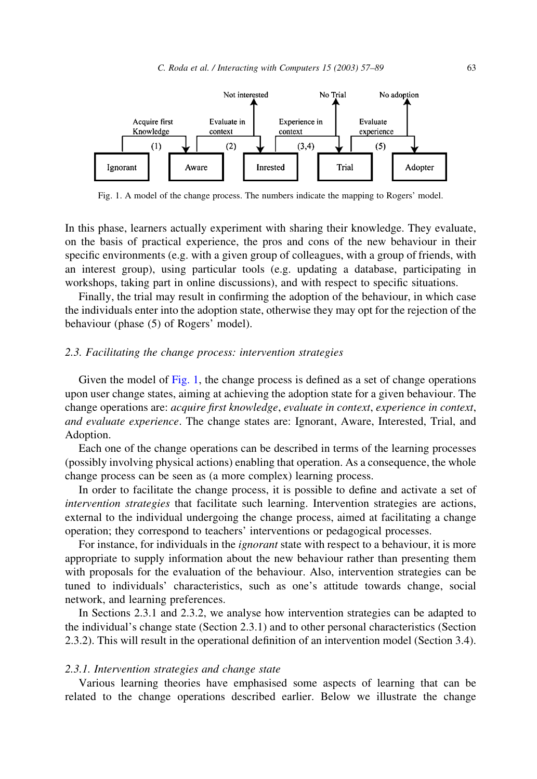<span id="page-6-0"></span>

Fig. 1. A model of the change process. The numbers indicate the mapping to Rogers' model.

In this phase, learners actually experiment with sharing their knowledge. They evaluate, on the basis of practical experience, the pros and cons of the new behaviour in their specific environments (e.g. with a given group of colleagues, with a group of friends, with an interest group), using particular tools (e.g. updating a database, participating in workshops, taking part in online discussions), and with respect to specific situations.

Finally, the trial may result in confirming the adoption of the behaviour, in which case the individuals enter into the adoption state, otherwise they may opt for the rejection of the behaviour (phase (5) of Rogers' model).

# 2.3. Facilitating the change process: intervention strategies

Given the model of Fig. 1, the change process is defined as a set of change operations upon user change states, aiming at achieving the adoption state for a given behaviour. The change operations are: acquire first knowledge, evaluate in context, experience in context, and evaluate experience. The change states are: Ignorant, Aware, Interested, Trial, and Adoption.

Each one of the change operations can be described in terms of the learning processes (possibly involving physical actions) enabling that operation. As a consequence, the whole change process can be seen as (a more complex) learning process.

In order to facilitate the change process, it is possible to define and activate a set of intervention strategies that facilitate such learning. Intervention strategies are actions, external to the individual undergoing the change process, aimed at facilitating a change operation; they correspond to teachers' interventions or pedagogical processes.

For instance, for individuals in the *ignorant* state with respect to a behaviour, it is more appropriate to supply information about the new behaviour rather than presenting them with proposals for the evaluation of the behaviour. Also, intervention strategies can be tuned to individuals' characteristics, such as one's attitude towards change, social network, and learning preferences.

In Sections 2.3.1 and 2.3.2, we analyse how intervention strategies can be adapted to the individual's change state (Section 2.3.1) and to other personal characteristics (Section 2.3.2). This will result in the operational definition of an intervention model (Section 3.4).

## 2.3.1. Intervention strategies and change state

Various learning theories have emphasised some aspects of learning that can be related to the change operations described earlier. Below we illustrate the change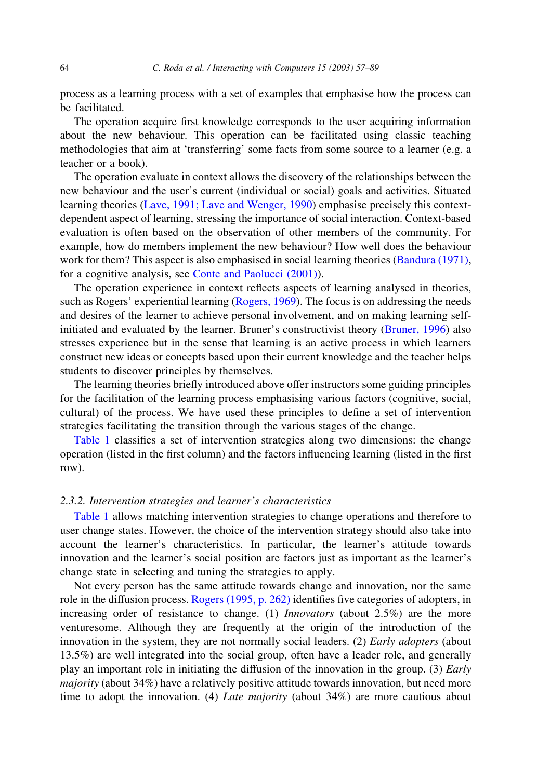process as a learning process with a set of examples that emphasise how the process can be facilitated.

The operation acquire first knowledge corresponds to the user acquiring information about the new behaviour. This operation can be facilitated using classic teaching methodologies that aim at 'transferring' some facts from some source to a learner (e.g. a teacher or a book).

The operation evaluate in context allows the discovery of the relationships between the new behaviour and the user's current (individual or social) goals and activities. Situated learning theories [\(Lave, 1991; Lave and Wenger, 1990](#page-30-0)) emphasise precisely this contextdependent aspect of learning, stressing the importance of social interaction. Context-based evaluation is often based on the observation of other members of the community. For example, how do members implement the new behaviour? How well does the behaviour work for them? This aspect is also emphasised in social learning theories ([Bandura \(1971\),](#page-29-0) for a cognitive analysis, see [Conte and Paolucci \(2001\)\)](#page-30-0).

The operation experience in context reflects aspects of learning analysed in theories, such as Rogers' experiential learning [\(Rogers, 1969](#page-31-0)). The focus is on addressing the needs and desires of the learner to achieve personal involvement, and on making learning selfinitiated and evaluated by the learner. Bruner's constructivist theory ([Bruner, 1996\)](#page-29-0) also stresses experience but in the sense that learning is an active process in which learners construct new ideas or concepts based upon their current knowledge and the teacher helps students to discover principles by themselves.

The learning theories briefly introduced above offer instructors some guiding principles for the facilitation of the learning process emphasising various factors (cognitive, social, cultural) of the process. We have used these principles to define a set of intervention strategies facilitating the transition through the various stages of the change.

[Table 1](#page-8-0) classifies a set of intervention strategies along two dimensions: the change operation (listed in the first column) and the factors influencing learning (listed in the first row).

# 2.3.2. Intervention strategies and learner's characteristics

[Table 1](#page-8-0) allows matching intervention strategies to change operations and therefore to user change states. However, the choice of the intervention strategy should also take into account the learner's characteristics. In particular, the learner's attitude towards innovation and the learner's social position are factors just as important as the learner's change state in selecting and tuning the strategies to apply.

Not every person has the same attitude towards change and innovation, nor the same role in the diffusion process. [Rogers \(1995, p. 262\)](#page-31-0) identifies five categories of adopters, in increasing order of resistance to change. (1) *Innovators* (about 2.5%) are the more venturesome. Although they are frequently at the origin of the introduction of the innovation in the system, they are not normally social leaders. (2) Early adopters (about 13.5%) are well integrated into the social group, often have a leader role, and generally play an important role in initiating the diffusion of the innovation in the group. (3) Early majority (about 34%) have a relatively positive attitude towards innovation, but need more time to adopt the innovation. (4) Late majority (about 34%) are more cautious about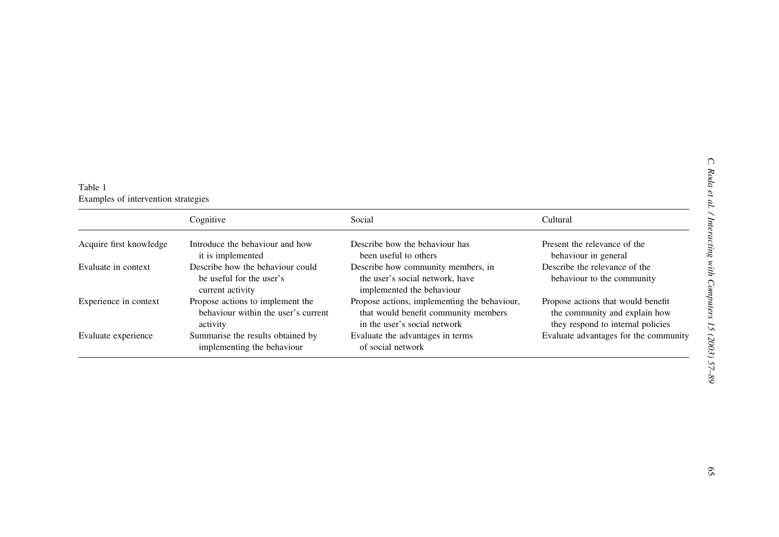#### <span id="page-8-0"></span>Table 1 Examples of intervention strategies

|                         | Cognitive                                                                           | Social                                                                                                               | Cultural                                                                                                 |
|-------------------------|-------------------------------------------------------------------------------------|----------------------------------------------------------------------------------------------------------------------|----------------------------------------------------------------------------------------------------------|
| Acquire first knowledge | Introduce the behaviour and how<br>it is implemented                                | Describe how the behaviour has<br>been useful to others                                                              | Present the relevance of the<br>behaviour in general                                                     |
| Evaluate in context     | Describe how the behaviour could<br>be useful for the user's<br>current activity    | Describe how community members, in<br>the user's social network, have<br>implemented the behaviour                   | Describe the relevance of the<br>behaviour to the community                                              |
| Experience in context   | Propose actions to implement the<br>behaviour within the user's current<br>activity | Propose actions, implementing the behaviour,<br>that would benefit community members<br>in the user's social network | Propose actions that would benefit<br>the community and explain how<br>they respond to internal policies |
| Evaluate experience     | Summarise the results obtained by<br>implementing the behaviour                     | Evaluate the advantages in terms<br>of social network                                                                | Evaluate advantages for the community                                                                    |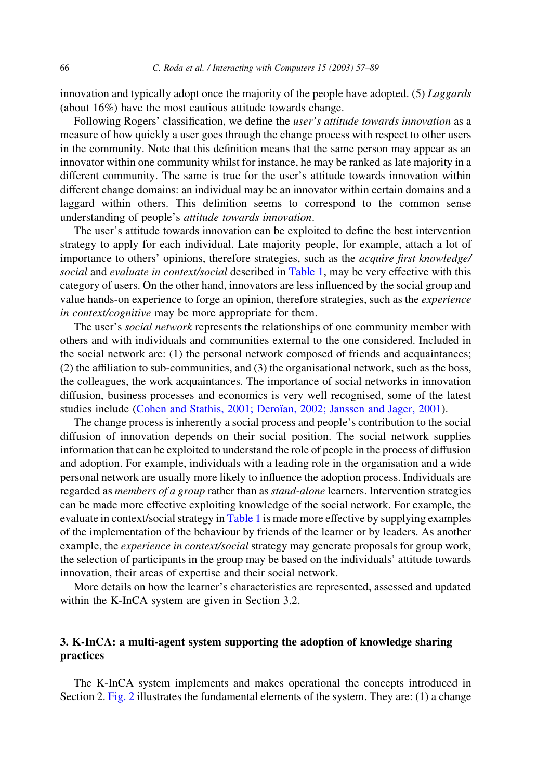innovation and typically adopt once the majority of the people have adopted. (5) Laggards (about 16%) have the most cautious attitude towards change.

Following Rogers' classification, we define the *user's attitude towards innovation* as a measure of how quickly a user goes through the change process with respect to other users in the community. Note that this definition means that the same person may appear as an innovator within one community whilst for instance, he may be ranked as late majority in a different community. The same is true for the user's attitude towards innovation within different change domains: an individual may be an innovator within certain domains and a laggard within others. This definition seems to correspond to the common sense understanding of people's attitude towards innovation.

The user's attitude towards innovation can be exploited to define the best intervention strategy to apply for each individual. Late majority people, for example, attach a lot of importance to others' opinions, therefore strategies, such as the acquire first knowledge/ social and evaluate in context/social described in [Table 1](#page-8-0), may be very effective with this category of users. On the other hand, innovators are less influenced by the social group and value hands-on experience to forge an opinion, therefore strategies, such as the experience in context/cognitive may be more appropriate for them.

The user's *social network* represents the relationships of one community member with others and with individuals and communities external to the one considered. Included in the social network are: (1) the personal network composed of friends and acquaintances; (2) the affiliation to sub-communities, and (3) the organisational network, such as the boss, the colleagues, the work acquaintances. The importance of social networks in innovation diffusion, business processes and economics is very well recognised, some of the latest studies include (Cohen and Stathis, 2001; Deroïan, 2002; Janssen and Jager, 2001).

The change process is inherently a social process and people's contribution to the social diffusion of innovation depends on their social position. The social network supplies information that can be exploited to understand the role of people in the process of diffusion and adoption. For example, individuals with a leading role in the organisation and a wide personal network are usually more likely to influence the adoption process. Individuals are regarded as members of a group rather than as stand-alone learners. Intervention strategies can be made more effective exploiting knowledge of the social network. For example, the evaluate in context/social strategy in [Table 1](#page-8-0) is made more effective by supplying examples of the implementation of the behaviour by friends of the learner or by leaders. As another example, the *experience in context/social* strategy may generate proposals for group work, the selection of participants in the group may be based on the individuals' attitude towards innovation, their areas of expertise and their social network.

More details on how the learner's characteristics are represented, assessed and updated within the K-InCA system are given in Section 3.2.

# 3. K-InCA: a multi-agent system supporting the adoption of knowledge sharing practices

The K-InCA system implements and makes operational the concepts introduced in Section 2. [Fig. 2](#page-10-0) illustrates the fundamental elements of the system. They are: (1) a change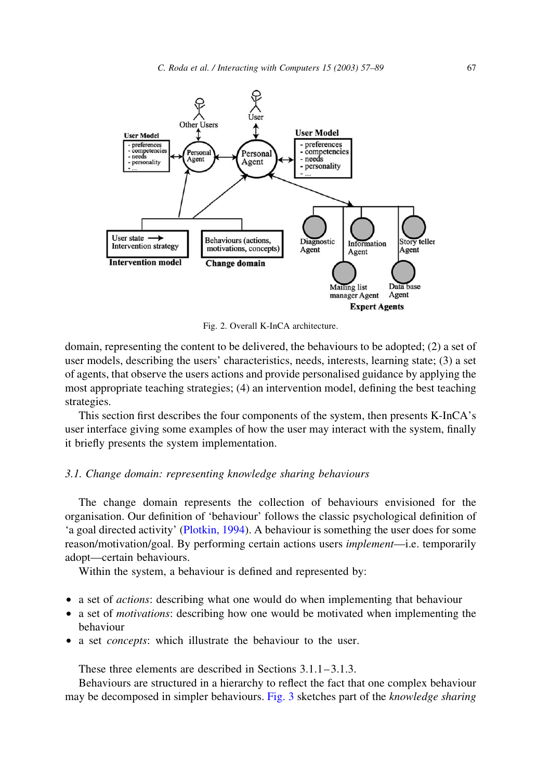<span id="page-10-0"></span>

Fig. 2. Overall K-InCA architecture.

domain, representing the content to be delivered, the behaviours to be adopted; (2) a set of user models, describing the users' characteristics, needs, interests, learning state; (3) a set of agents, that observe the users actions and provide personalised guidance by applying the most appropriate teaching strategies; (4) an intervention model, defining the best teaching strategies.

This section first describes the four components of the system, then presents K-InCA's user interface giving some examples of how the user may interact with the system, finally it briefly presents the system implementation.

# 3.1. Change domain: representing knowledge sharing behaviours

The change domain represents the collection of behaviours envisioned for the organisation. Our definition of 'behaviour' follows the classic psychological definition of 'a goal directed activity' ([Plotkin, 1994\)](#page-31-0). A behaviour is something the user does for some reason/motivation/goal. By performing certain actions users implement—i.e. temporarily adopt—certain behaviours.

Within the system, a behaviour is defined and represented by:

- a set of *actions*: describing what one would do when implementing that behaviour
- a set of *motivations*: describing how one would be motivated when implementing the behaviour
- a set *concepts*: which illustrate the behaviour to the user.

These three elements are described in Sections 3.1.1–3.1.3.

Behaviours are structured in a hierarchy to reflect the fact that one complex behaviour may be decomposed in simpler behaviours. [Fig. 3](#page-11-0) sketches part of the *knowledge sharing*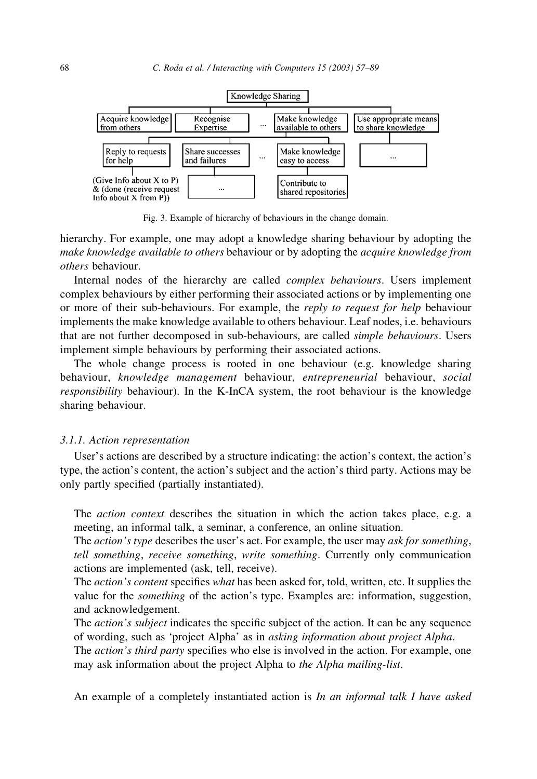<span id="page-11-0"></span>

Fig. 3. Example of hierarchy of behaviours in the change domain.

hierarchy. For example, one may adopt a knowledge sharing behaviour by adopting the make knowledge available to others behaviour or by adopting the acquire knowledge from others behaviour.

Internal nodes of the hierarchy are called complex behaviours. Users implement complex behaviours by either performing their associated actions or by implementing one or more of their sub-behaviours. For example, the reply to request for help behaviour implements the make knowledge available to others behaviour. Leaf nodes, i.e. behaviours that are not further decomposed in sub-behaviours, are called simple behaviours. Users implement simple behaviours by performing their associated actions.

The whole change process is rooted in one behaviour (e.g. knowledge sharing behaviour, knowledge management behaviour, entrepreneurial behaviour, social responsibility behaviour). In the K-InCA system, the root behaviour is the knowledge sharing behaviour.

#### 3.1.1. Action representation

User's actions are described by a structure indicating: the action's context, the action's type, the action's content, the action's subject and the action's third party. Actions may be only partly specified (partially instantiated).

The action context describes the situation in which the action takes place, e.g. a meeting, an informal talk, a seminar, a conference, an online situation.

The *action's type* describes the user's act. For example, the user may *ask for something*, tell something, receive something, write something. Currently only communication actions are implemented (ask, tell, receive).

The action's content specifies what has been asked for, told, written, etc. It supplies the value for the something of the action's type. Examples are: information, suggestion, and acknowledgement.

The *action's subject* indicates the specific subject of the action. It can be any sequence of wording, such as 'project Alpha' as in asking information about project Alpha.

The *action's third party* specifies who else is involved in the action. For example, one may ask information about the project Alpha to the Alpha mailing-list.

An example of a completely instantiated action is In an informal talk I have asked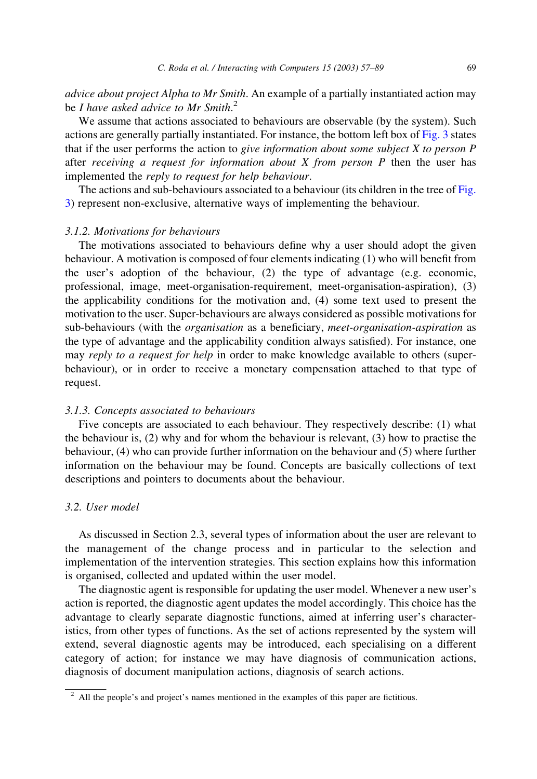advice about project Alpha to Mr Smith. An example of a partially instantiated action may be I have asked advice to Mr Smith.<sup>2</sup>

We assume that actions associated to behaviours are observable (by the system). Such actions are generally partially instantiated. For instance, the bottom left box of [Fig. 3](#page-11-0) states that if the user performs the action to give information about some subject  $X$  to person  $P$ after receiving a request for information about  $X$  from person  $P$  then the user has implemented the reply to request for help behaviour.

The actions and sub-behaviours associated to a behaviour (its children in the tree of [Fig.](#page-11-0) [3\)](#page-11-0) represent non-exclusive, alternative ways of implementing the behaviour.

#### 3.1.2. Motivations for behaviours

The motivations associated to behaviours define why a user should adopt the given behaviour. A motivation is composed of four elements indicating (1) who will benefit from the user's adoption of the behaviour, (2) the type of advantage (e.g. economic, professional, image, meet-organisation-requirement, meet-organisation-aspiration), (3) the applicability conditions for the motivation and, (4) some text used to present the motivation to the user. Super-behaviours are always considered as possible motivations for sub-behaviours (with the *organisation* as a beneficiary, *meet-organisation-aspiration* as the type of advantage and the applicability condition always satisfied). For instance, one may reply to a request for help in order to make knowledge available to others (superbehaviour), or in order to receive a monetary compensation attached to that type of request.

## 3.1.3. Concepts associated to behaviours

Five concepts are associated to each behaviour. They respectively describe: (1) what the behaviour is, (2) why and for whom the behaviour is relevant, (3) how to practise the behaviour, (4) who can provide further information on the behaviour and (5) where further information on the behaviour may be found. Concepts are basically collections of text descriptions and pointers to documents about the behaviour.

# 3.2. User model

As discussed in Section 2.3, several types of information about the user are relevant to the management of the change process and in particular to the selection and implementation of the intervention strategies. This section explains how this information is organised, collected and updated within the user model.

The diagnostic agent is responsible for updating the user model. Whenever a new user's action is reported, the diagnostic agent updates the model accordingly. This choice has the advantage to clearly separate diagnostic functions, aimed at inferring user's characteristics, from other types of functions. As the set of actions represented by the system will extend, several diagnostic agents may be introduced, each specialising on a different category of action; for instance we may have diagnosis of communication actions, diagnosis of document manipulation actions, diagnosis of search actions.

<sup>&</sup>lt;sup>2</sup> All the people's and project's names mentioned in the examples of this paper are fictitious.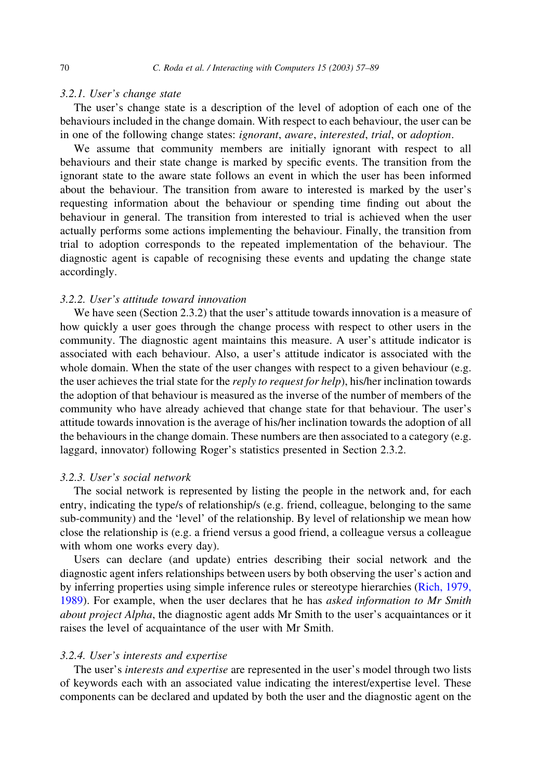# 3.2.1. User's change state

The user's change state is a description of the level of adoption of each one of the behaviours included in the change domain. With respect to each behaviour, the user can be in one of the following change states: ignorant, aware, interested, trial, or adoption.

We assume that community members are initially ignorant with respect to all behaviours and their state change is marked by specific events. The transition from the ignorant state to the aware state follows an event in which the user has been informed about the behaviour. The transition from aware to interested is marked by the user's requesting information about the behaviour or spending time finding out about the behaviour in general. The transition from interested to trial is achieved when the user actually performs some actions implementing the behaviour. Finally, the transition from trial to adoption corresponds to the repeated implementation of the behaviour. The diagnostic agent is capable of recognising these events and updating the change state accordingly.

# 3.2.2. User's attitude toward innovation

We have seen (Section 2.3.2) that the user's attitude towards innovation is a measure of how quickly a user goes through the change process with respect to other users in the community. The diagnostic agent maintains this measure. A user's attitude indicator is associated with each behaviour. Also, a user's attitude indicator is associated with the whole domain. When the state of the user changes with respect to a given behaviour (e.g. the user achieves the trial state for the *reply to request for help*), his/her inclination towards the adoption of that behaviour is measured as the inverse of the number of members of the community who have already achieved that change state for that behaviour. The user's attitude towards innovation is the average of his/her inclination towards the adoption of all the behaviours in the change domain. These numbers are then associated to a category (e.g. laggard, innovator) following Roger's statistics presented in Section 2.3.2.

#### 3.2.3. User's social network

The social network is represented by listing the people in the network and, for each entry, indicating the type/s of relationship/s (e.g. friend, colleague, belonging to the same sub-community) and the 'level' of the relationship. By level of relationship we mean how close the relationship is (e.g. a friend versus a good friend, a colleague versus a colleague with whom one works every day).

Users can declare (and update) entries describing their social network and the diagnostic agent infers relationships between users by both observing the user's action and by inferring properties using simple inference rules or stereotype hierarchies ([Rich, 1979,](#page-31-0) [1989](#page-31-0)). For example, when the user declares that he has asked information to Mr Smith about project Alpha, the diagnostic agent adds Mr Smith to the user's acquaintances or it raises the level of acquaintance of the user with Mr Smith.

# 3.2.4. User's interests and expertise

The user's interests and expertise are represented in the user's model through two lists of keywords each with an associated value indicating the interest/expertise level. These components can be declared and updated by both the user and the diagnostic agent on the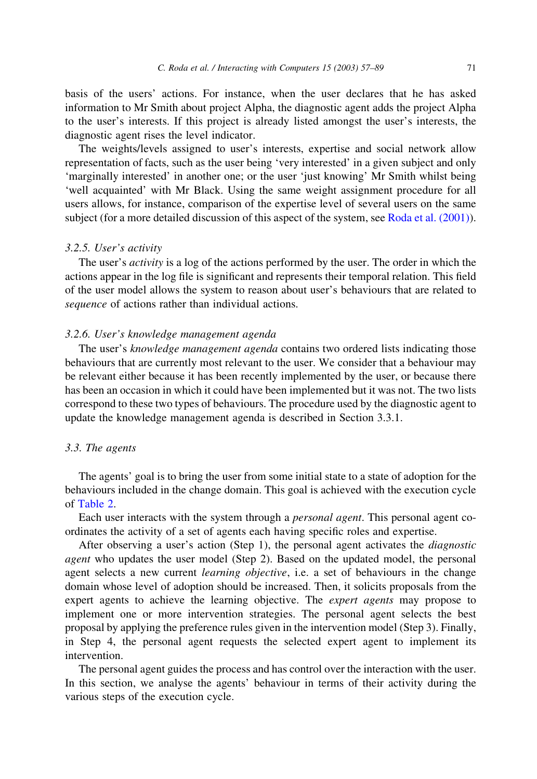basis of the users' actions. For instance, when the user declares that he has asked information to Mr Smith about project Alpha, the diagnostic agent adds the project Alpha to the user's interests. If this project is already listed amongst the user's interests, the diagnostic agent rises the level indicator.

The weights/levels assigned to user's interests, expertise and social network allow representation of facts, such as the user being 'very interested' in a given subject and only 'marginally interested' in another one; or the user 'just knowing' Mr Smith whilst being 'well acquainted' with Mr Black. Using the same weight assignment procedure for all users allows, for instance, comparison of the expertise level of several users on the same subject (for a more detailed discussion of this aspect of the system, see [Roda et al. \(2001\)\)](#page-31-0).

#### 3.2.5. User's activity

The user's *activity* is a log of the actions performed by the user. The order in which the actions appear in the log file is significant and represents their temporal relation. This field of the user model allows the system to reason about user's behaviours that are related to sequence of actions rather than individual actions.

# 3.2.6. User's knowledge management agenda

The user's knowledge management agenda contains two ordered lists indicating those behaviours that are currently most relevant to the user. We consider that a behaviour may be relevant either because it has been recently implemented by the user, or because there has been an occasion in which it could have been implemented but it was not. The two lists correspond to these two types of behaviours. The procedure used by the diagnostic agent to update the knowledge management agenda is described in Section 3.3.1.

# 3.3. The agents

The agents' goal is to bring the user from some initial state to a state of adoption for the behaviours included in the change domain. This goal is achieved with the execution cycle of [Table 2.](#page-15-0)

Each user interacts with the system through a personal agent. This personal agent coordinates the activity of a set of agents each having specific roles and expertise.

After observing a user's action (Step 1), the personal agent activates the *diagnostic* agent who updates the user model (Step 2). Based on the updated model, the personal agent selects a new current learning objective, i.e. a set of behaviours in the change domain whose level of adoption should be increased. Then, it solicits proposals from the expert agents to achieve the learning objective. The expert agents may propose to implement one or more intervention strategies. The personal agent selects the best proposal by applying the preference rules given in the intervention model (Step 3). Finally, in Step 4, the personal agent requests the selected expert agent to implement its intervention.

The personal agent guides the process and has control over the interaction with the user. In this section, we analyse the agents' behaviour in terms of their activity during the various steps of the execution cycle.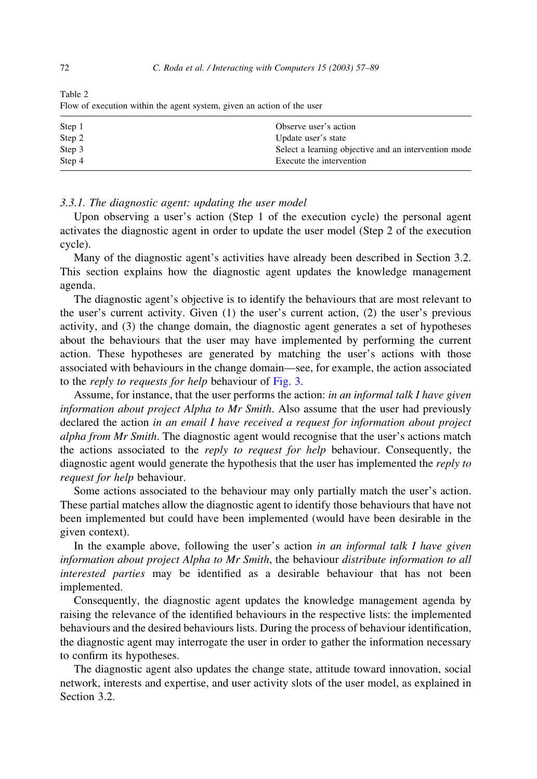| Step 1 | Observe user's action                                |
|--------|------------------------------------------------------|
| Step 2 | Update user's state                                  |
| Step 3 | Select a learning objective and an intervention mode |
| Step 4 | Execute the intervention                             |

Table 2 Flow of execution within the agent system, given an action of the user

# 3.3.1. The diagnostic agent: updating the user model

Upon observing a user's action (Step 1 of the execution cycle) the personal agent activates the diagnostic agent in order to update the user model (Step 2 of the execution cycle).

Many of the diagnostic agent's activities have already been described in Section 3.2. This section explains how the diagnostic agent updates the knowledge management agenda.

The diagnostic agent's objective is to identify the behaviours that are most relevant to the user's current activity. Given (1) the user's current action, (2) the user's previous activity, and (3) the change domain, the diagnostic agent generates a set of hypotheses about the behaviours that the user may have implemented by performing the current action. These hypotheses are generated by matching the user's actions with those associated with behaviours in the change domain—see, for example, the action associated to the reply to requests for help behaviour of [Fig. 3](#page-11-0).

Assume, for instance, that the user performs the action: in an informal talk I have given information about project Alpha to Mr Smith. Also assume that the user had previously declared the action in an email I have received a request for information about project alpha from Mr Smith. The diagnostic agent would recognise that the user's actions match the actions associated to the reply to request for help behaviour. Consequently, the diagnostic agent would generate the hypothesis that the user has implemented the reply to request for help behaviour.

Some actions associated to the behaviour may only partially match the user's action. These partial matches allow the diagnostic agent to identify those behaviours that have not been implemented but could have been implemented (would have been desirable in the given context).

In the example above, following the user's action in an informal talk I have given information about project Alpha to Mr Smith, the behaviour distribute information to all interested parties may be identified as a desirable behaviour that has not been implemented.

Consequently, the diagnostic agent updates the knowledge management agenda by raising the relevance of the identified behaviours in the respective lists: the implemented behaviours and the desired behaviours lists. During the process of behaviour identification, the diagnostic agent may interrogate the user in order to gather the information necessary to confirm its hypotheses.

The diagnostic agent also updates the change state, attitude toward innovation, social network, interests and expertise, and user activity slots of the user model, as explained in Section 3.2.

<span id="page-15-0"></span>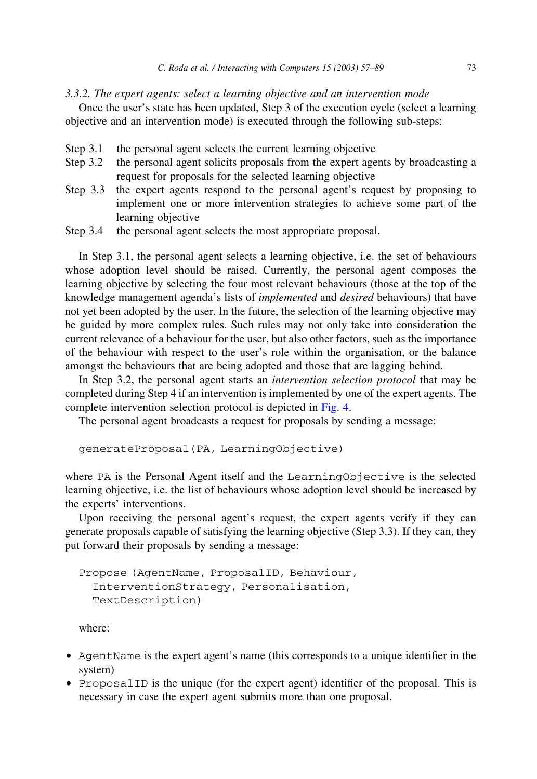# 3.3.2. The expert agents: select a learning objective and an intervention mode

Once the user's state has been updated, Step 3 of the execution cycle (select a learning objective and an intervention mode) is executed through the following sub-steps:

- Step 3.1 the personal agent selects the current learning objective
- Step 3.2 the personal agent solicits proposals from the expert agents by broadcasting a request for proposals for the selected learning objective
- Step 3.3 the expert agents respond to the personal agent's request by proposing to implement one or more intervention strategies to achieve some part of the learning objective
- Step 3.4 the personal agent selects the most appropriate proposal.

In Step 3.1, the personal agent selects a learning objective, i.e. the set of behaviours whose adoption level should be raised. Currently, the personal agent composes the learning objective by selecting the four most relevant behaviours (those at the top of the knowledge management agenda's lists of implemented and desired behaviours) that have not yet been adopted by the user. In the future, the selection of the learning objective may be guided by more complex rules. Such rules may not only take into consideration the current relevance of a behaviour for the user, but also other factors, such as the importance of the behaviour with respect to the user's role within the organisation, or the balance amongst the behaviours that are being adopted and those that are lagging behind.

In Step 3.2, the personal agent starts an *intervention selection protocol* that may be completed during Step 4 if an intervention is implemented by one of the expert agents. The complete intervention selection protocol is depicted in [Fig. 4](#page-17-0).

The personal agent broadcasts a request for proposals by sending a message:

generateProposal(PA, LearningObjective)

where PA is the Personal Agent itself and the LearningObjective is the selected learning objective, i.e. the list of behaviours whose adoption level should be increased by the experts' interventions.

Upon receiving the personal agent's request, the expert agents verify if they can generate proposals capable of satisfying the learning objective (Step 3.3). If they can, they put forward their proposals by sending a message:

```
Propose (AgentName, ProposalID, Behaviour,
  InterventionStrategy, Personalisation,
 TextDescription)
```
where:

- † AgentName is the expert agent's name (this corresponds to a unique identifier in the system)
- ProposalID is the unique (for the expert agent) identifier of the proposal. This is necessary in case the expert agent submits more than one proposal.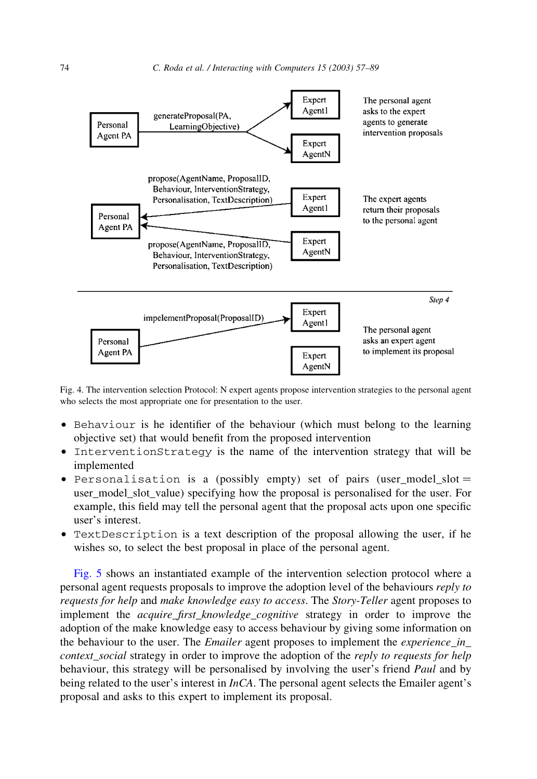<span id="page-17-0"></span>

Fig. 4. The intervention selection Protocol: N expert agents propose intervention strategies to the personal agent who selects the most appropriate one for presentation to the user.

- Behaviour is he identifier of the behaviour (which must belong to the learning objective set) that would benefit from the proposed intervention
- InterventionStrategy is the name of the intervention strategy that will be implemented
- Personalisation is a (possibly empty) set of pairs (user model slot  $=$ user\_model\_slot\_value) specifying how the proposal is personalised for the user. For example, this field may tell the personal agent that the proposal acts upon one specific user's interest.
- † TextDescription is a text description of the proposal allowing the user, if he wishes so, to select the best proposal in place of the personal agent.

[Fig. 5](#page-18-0) shows an instantiated example of the intervention selection protocol where a personal agent requests proposals to improve the adoption level of the behaviours reply to requests for help and make knowledge easy to access. The Story-Teller agent proposes to implement the *acquire\_first\_knowledge\_cognitive* strategy in order to improve the adoption of the make knowledge easy to access behaviour by giving some information on the behaviour to the user. The *Emailer* agent proposes to implement the *experience\_in\_* context social strategy in order to improve the adoption of the reply to requests for help behaviour, this strategy will be personalised by involving the user's friend *Paul* and by being related to the user's interest in  $InCA$ . The personal agent selects the Emailer agent's proposal and asks to this expert to implement its proposal.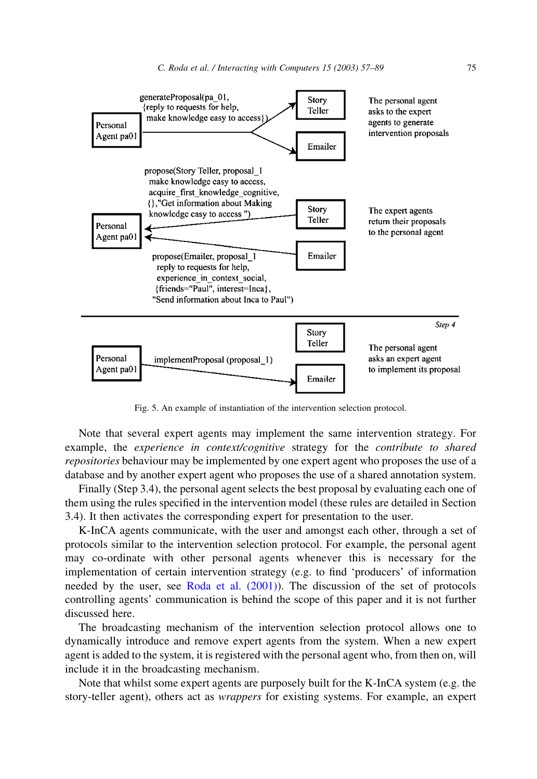<span id="page-18-0"></span>

Fig. 5. An example of instantiation of the intervention selection protocol.

Note that several expert agents may implement the same intervention strategy. For example, the *experience in context/cognitive* strategy for the *contribute to shared* repositories behaviour may be implemented by one expert agent who proposes the use of a database and by another expert agent who proposes the use of a shared annotation system.

Finally (Step 3.4), the personal agent selects the best proposal by evaluating each one of them using the rules specified in the intervention model (these rules are detailed in Section 3.4). It then activates the corresponding expert for presentation to the user.

K-InCA agents communicate, with the user and amongst each other, through a set of protocols similar to the intervention selection protocol. For example, the personal agent may co-ordinate with other personal agents whenever this is necessary for the implementation of certain intervention strategy (e.g. to find 'producers' of information needed by the user, see [Roda et al. \(2001\)\)](#page-31-0). The discussion of the set of protocols controlling agents' communication is behind the scope of this paper and it is not further discussed here.

The broadcasting mechanism of the intervention selection protocol allows one to dynamically introduce and remove expert agents from the system. When a new expert agent is added to the system, it is registered with the personal agent who, from then on, will include it in the broadcasting mechanism.

Note that whilst some expert agents are purposely built for the K-InCA system (e.g. the story-teller agent), others act as wrappers for existing systems. For example, an expert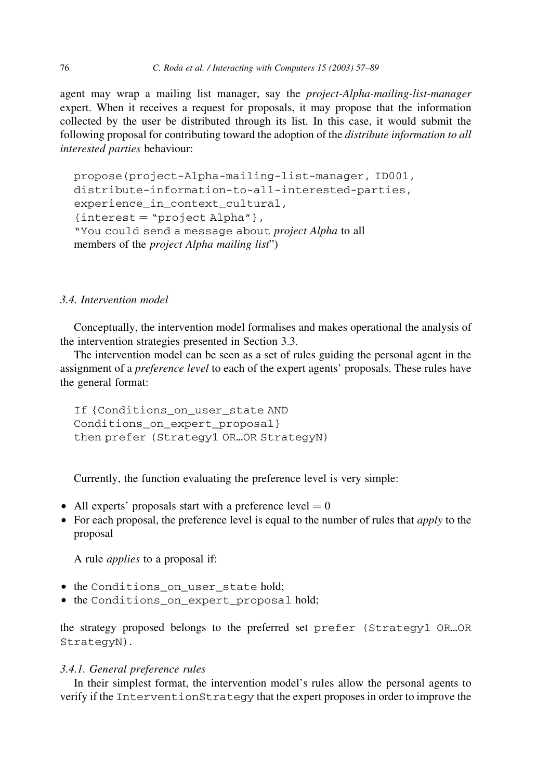agent may wrap a mailing list manager, say the project-Alpha-mailing-list-manager expert. When it receives a request for proposals, it may propose that the information collected by the user be distributed through its list. In this case, it would submit the following proposal for contributing toward the adoption of the distribute information to all interested parties behaviour:

```
propose(project-Alpha-mailing-list-manager, ID001,
distribute-information-to-all-interested-parties,
experience_in_context_cultural,
{interest = "project Alpha",}"You could send a message about project Alpha to all
members of the project Alpha mailing list")
```
# 3.4. Intervention model

Conceptually, the intervention model formalises and makes operational the analysis of the intervention strategies presented in Section 3.3.

The intervention model can be seen as a set of rules guiding the personal agent in the assignment of a *preference level* to each of the expert agents' proposals. These rules have the general format:

```
If {Conditions on user state AND
Conditions on expert proposal}
then prefer (Strategy1 OR…OR StrategyN)
```
Currently, the function evaluating the preference level is very simple:

- All experts' proposals start with a preference level  $= 0$
- $\bullet$  For each proposal, the preference level is equal to the number of rules that *apply* to the proposal

A rule applies to a proposal if:

- the Conditions on user state hold;
- the Conditions\_on\_expert\_proposal hold;

the strategy proposed belongs to the preferred set prefer (Strategy1 OR…OR StrategyN).

## 3.4.1. General preference rules

In their simplest format, the intervention model's rules allow the personal agents to verify if the InterventionStrategy that the expert proposes in order to improve the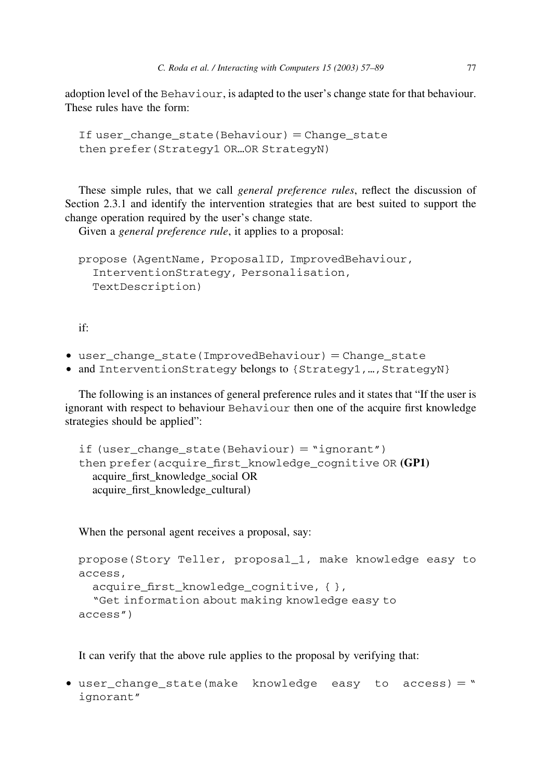adoption level of the Behaviour, is adapted to the user's change state for that behaviour. These rules have the form:

If user change state(Behaviour) = Change state then prefer(Strategy1 OR…OR StrategyN)

These simple rules, that we call *general preference rules*, reflect the discussion of Section 2.3.1 and identify the intervention strategies that are best suited to support the change operation required by the user's change state.

Given a general preference rule, it applies to a proposal:

```
propose (AgentName, ProposalID, ImprovedBehaviour,
  InterventionStrategy, Personalisation,
  TextDescription)
```
if:

- user change state(ImprovedBehaviour) = Change state
- and InterventionStrategy belongs to {Strategy1, ..., StrategyN}

The following is an instances of general preference rules and it states that "If the user is ignorant with respect to behaviour Behaviour then one of the acquire first knowledge strategies should be applied":

```
if (user change state(Behaviour) = "ignorant")
then prefer(acquire first knowledge cognitive OR (GP1))
  acquire_first_knowledge_social OR
  acquire_first_knowledge_cultural)
```
When the personal agent receives a proposal, say:

```
propose(Story Teller, proposal_1, make knowledge easy to
access,
  acquire first knowledge cognitive, { },
  "Get information about making knowledge easy to
access")
```
It can verify that the above rule applies to the proposal by verifying that:

• user\_change\_state(make knowledge easy to access) =  $"$ ignorant"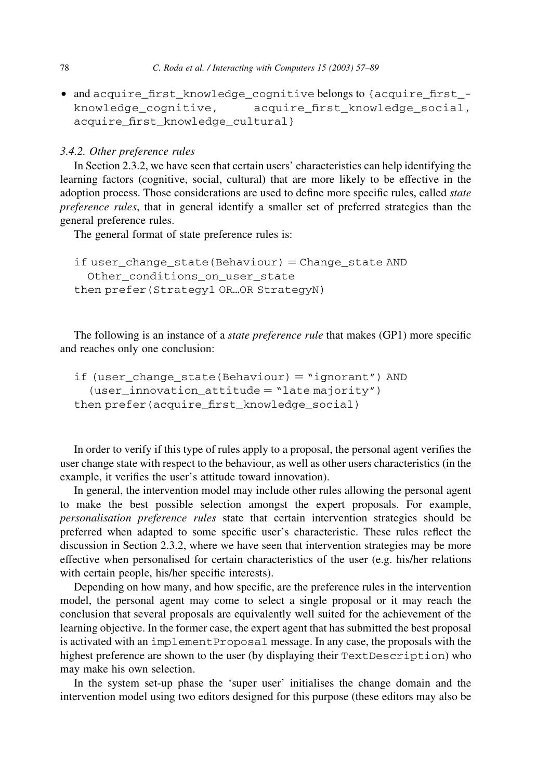† and acquire\_first\_knowledge\_cognitive belongs to {acquire\_first\_ knowledge cognitive, acquire first knowledge social, acquire first knowledge cultural}

# 3.4.2. Other preference rules

In Section 2.3.2, we have seen that certain users' characteristics can help identifying the learning factors (cognitive, social, cultural) that are more likely to be effective in the adoption process. Those considerations are used to define more specific rules, called state preference rules, that in general identify a smaller set of preferred strategies than the general preference rules.

The general format of state preference rules is:

```
if user change state(Behaviour) = Change state AND
  Other_conditions_on_user_state
then prefer(Strategy1 OR…OR StrategyN)
```
The following is an instance of a *state preference rule* that makes (GP1) more specific and reaches only one conclusion:

```
if (user\_change\_state(Behaviour) = "ignorant") AND(user_innovation\_attitude = "late majority")then prefer(acquire_first_knowledge_social)
```
In order to verify if this type of rules apply to a proposal, the personal agent verifies the user change state with respect to the behaviour, as well as other users characteristics (in the example, it verifies the user's attitude toward innovation).

In general, the intervention model may include other rules allowing the personal agent to make the best possible selection amongst the expert proposals. For example, personalisation preference rules state that certain intervention strategies should be preferred when adapted to some specific user's characteristic. These rules reflect the discussion in Section 2.3.2, where we have seen that intervention strategies may be more effective when personalised for certain characteristics of the user (e.g. his/her relations with certain people, his/her specific interests).

Depending on how many, and how specific, are the preference rules in the intervention model, the personal agent may come to select a single proposal or it may reach the conclusion that several proposals are equivalently well suited for the achievement of the learning objective. In the former case, the expert agent that has submitted the best proposal is activated with an implementProposal message. In any case, the proposals with the highest preference are shown to the user (by displaying their TextDescription) who may make his own selection.

In the system set-up phase the 'super user' initialises the change domain and the intervention model using two editors designed for this purpose (these editors may also be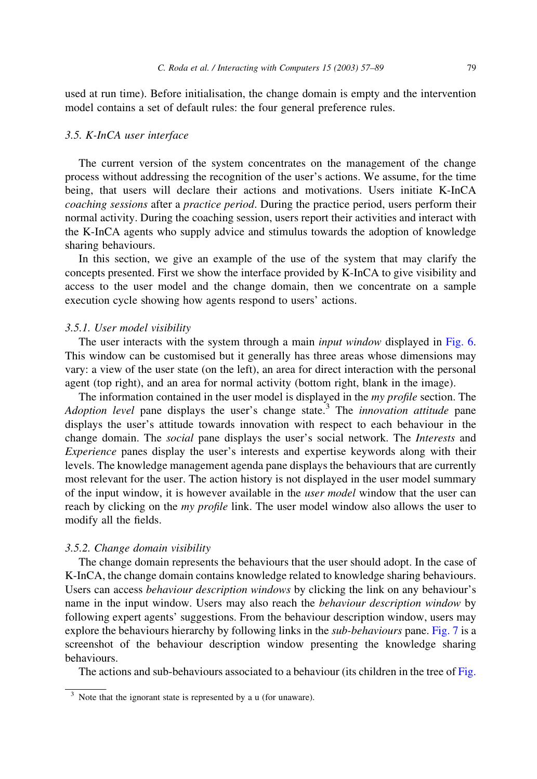used at run time). Before initialisation, the change domain is empty and the intervention model contains a set of default rules: the four general preference rules.

## 3.5. K-InCA user interface

The current version of the system concentrates on the management of the change process without addressing the recognition of the user's actions. We assume, for the time being, that users will declare their actions and motivations. Users initiate K-InCA coaching sessions after a practice period. During the practice period, users perform their normal activity. During the coaching session, users report their activities and interact with the K-InCA agents who supply advice and stimulus towards the adoption of knowledge sharing behaviours.

In this section, we give an example of the use of the system that may clarify the concepts presented. First we show the interface provided by K-InCA to give visibility and access to the user model and the change domain, then we concentrate on a sample execution cycle showing how agents respond to users' actions.

#### 3.5.1. User model visibility

The user interacts with the system through a main *input window* displayed in [Fig. 6.](#page-23-0) This window can be customised but it generally has three areas whose dimensions may vary: a view of the user state (on the left), an area for direct interaction with the personal agent (top right), and an area for normal activity (bottom right, blank in the image).

The information contained in the user model is displayed in the *my profile* section. The Adoption level pane displays the user's change state.<sup>3</sup> The *innovation attitude* pane displays the user's attitude towards innovation with respect to each behaviour in the change domain. The social pane displays the user's social network. The Interests and Experience panes display the user's interests and expertise keywords along with their levels. The knowledge management agenda pane displays the behaviours that are currently most relevant for the user. The action history is not displayed in the user model summary of the input window, it is however available in the user model window that the user can reach by clicking on the *my profile* link. The user model window also allows the user to modify all the fields.

#### 3.5.2. Change domain visibility

The change domain represents the behaviours that the user should adopt. In the case of K-InCA, the change domain contains knowledge related to knowledge sharing behaviours. Users can access behaviour description windows by clicking the link on any behaviour's name in the input window. Users may also reach the behaviour description window by following expert agents' suggestions. From the behaviour description window, users may explore the behaviours hierarchy by following links in the *sub-behaviours* pane. [Fig. 7](#page-24-0) is a screenshot of the behaviour description window presenting the knowledge sharing behaviours.

The actions and sub-behaviours associated to a behaviour (its children in the tree of [Fig.](#page-11-0)

<sup>&</sup>lt;sup>3</sup> Note that the ignorant state is represented by a u (for unaware).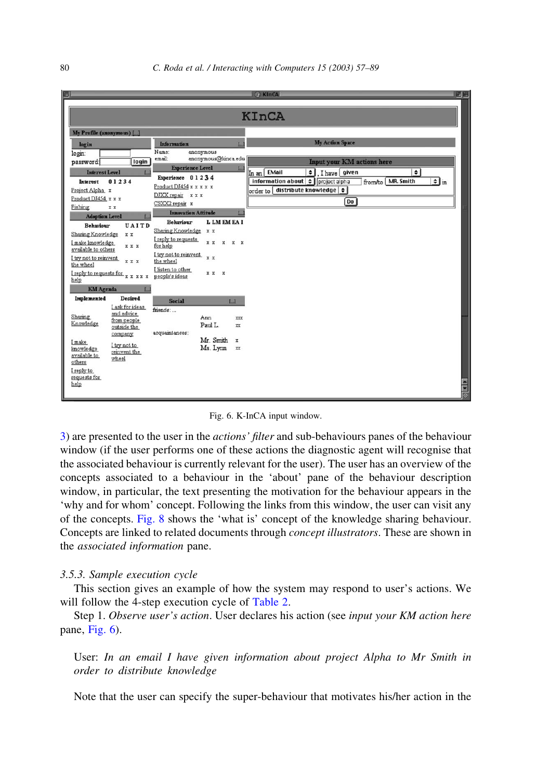<span id="page-23-0"></span>

Fig. 6. K-InCA input window.

[3](#page-11-0)) are presented to the user in the actions' filter and sub-behaviours panes of the behaviour window (if the user performs one of these actions the diagnostic agent will recognise that the associated behaviour is currently relevant for the user). The user has an overview of the concepts associated to a behaviour in the 'about' pane of the behaviour description window, in particular, the text presenting the motivation for the behaviour appears in the 'why and for whom' concept. Following the links from this window, the user can visit any of the concepts. [Fig. 8](#page-24-0) shows the 'what is' concept of the knowledge sharing behaviour. Concepts are linked to related documents through concept illustrators. These are shown in the associated information pane.

### 3.5.3. Sample execution cycle

This section gives an example of how the system may respond to user's actions. We will follow the 4-step execution cycle of [Table 2](#page-15-0).

Step 1. Observe user's action. User declares his action (see input your KM action here pane, Fig. 6).

User: In an email I have given information about project Alpha to Mr Smith in order to distribute knowledge

Note that the user can specify the super-behaviour that motivates his/her action in the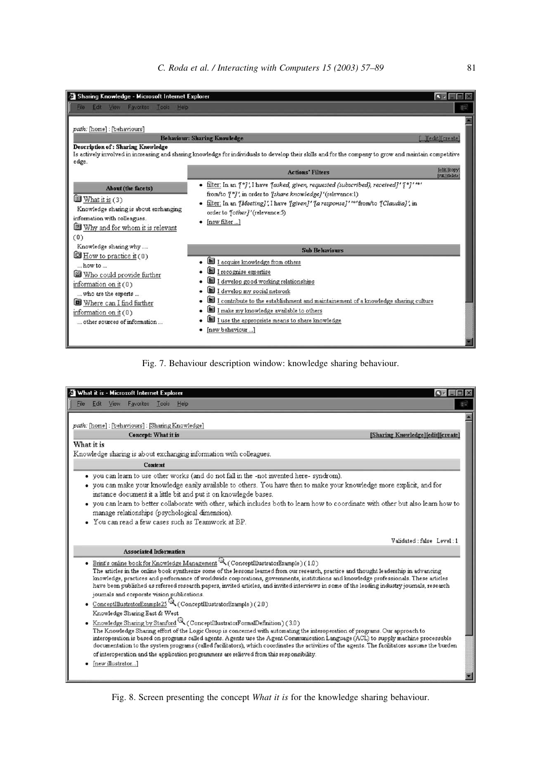<span id="page-24-0"></span>

| Sharing Knowledge - Microsoft Internet Explorer<br>$\sim$                                                                                                                                                           |                                                                                                                                                                                                                                                                                                                                                                         |  |  |
|---------------------------------------------------------------------------------------------------------------------------------------------------------------------------------------------------------------------|-------------------------------------------------------------------------------------------------------------------------------------------------------------------------------------------------------------------------------------------------------------------------------------------------------------------------------------------------------------------------|--|--|
| Edit View Favorites Tools Help<br>File:                                                                                                                                                                             | 图22                                                                                                                                                                                                                                                                                                                                                                     |  |  |
| path: [home] : [behaviours]<br>Description of: Sharing Knowledge<br>edge.                                                                                                                                           | <b>Behaviour: Sharing Knowledge</b><br>[][edit][create]<br>Is actively involved in increasing and sharing knowledge for individuals to develop their skills and for the company to grow and maintain competitive<br>fedit][copy]<br><b>Actions' Filters</b><br>[cut][delete]<br>• filter: In an [*]', I have Jasked, given, requested (subscribed), received]' [*]' '*' |  |  |
| About (the facets)<br>$\blacksquare$ What it is (3)<br>Knowledge sharing is about exchanging<br>information with colleagues.<br>【燃】<br>Why and for whom it is relevant<br>(0)                                       | from/to '[*]', in order to '[share knowledge]'(relevance:1)<br>filter: In an '[Meeting]', I have '[given]' '[a response]' "*' from/to '[Claudia]', in<br>order to 'forher]' (relevance:5)<br>[new filter]                                                                                                                                                               |  |  |
| Knowledge sharing why                                                                                                                                                                                               | <b>Sub Behaviours</b>                                                                                                                                                                                                                                                                                                                                                   |  |  |
| $\Box$ How to practice it (0)<br>$$ how to $$<br>Who could provide further<br>information on it $(0)$<br>who are the experts<br>Where can I find further<br>information on it $(0)$<br>other sources of information | I acquire knowledge from others<br>I recognise expertise<br>I develop good working relationships<br>I develop my social network<br>I contribute to the establishment and maintainement of a knowledge sharing culture<br>I make my knowledge available to others<br>I use the appropriate means to share knowledge<br>[new behaviour]                                   |  |  |

Fig. 7. Behaviour description window: knowledge sharing behaviour.

| What it is - Microsoft Internet Explorer                                                                                                                                                                                                                                                                                                                                                                                        |                                   |
|---------------------------------------------------------------------------------------------------------------------------------------------------------------------------------------------------------------------------------------------------------------------------------------------------------------------------------------------------------------------------------------------------------------------------------|-----------------------------------|
| View Favorites Tools<br>Edit<br>Help                                                                                                                                                                                                                                                                                                                                                                                            |                                   |
|                                                                                                                                                                                                                                                                                                                                                                                                                                 |                                   |
| path: [home]: [behaviours]: [Sharing Knowledge]                                                                                                                                                                                                                                                                                                                                                                                 |                                   |
| <b>Concept: What it is</b>                                                                                                                                                                                                                                                                                                                                                                                                      | [Sharing Knowledge][edit][create] |
| What it is                                                                                                                                                                                                                                                                                                                                                                                                                      |                                   |
| Knowledge sharing is about exchanging information with colleagues.                                                                                                                                                                                                                                                                                                                                                              |                                   |
| Content                                                                                                                                                                                                                                                                                                                                                                                                                         |                                   |
| . you can learn to use other works (and do not fall in the -not invented here-syndrom).                                                                                                                                                                                                                                                                                                                                         |                                   |
| . you can make your knowledge easily available to others. You have then to make your knowledge more explicit, and for                                                                                                                                                                                                                                                                                                           |                                   |
| instance document it a little bit and put it on knowlegde bases.                                                                                                                                                                                                                                                                                                                                                                |                                   |
| . you can learn to better collaborate with other, which includes both to learn how to coordinate with other but also learn how to                                                                                                                                                                                                                                                                                               |                                   |
| manage relationships (psychological dimension).                                                                                                                                                                                                                                                                                                                                                                                 |                                   |
| · You can read a few cases such as Teamwork at BP.                                                                                                                                                                                                                                                                                                                                                                              |                                   |
|                                                                                                                                                                                                                                                                                                                                                                                                                                 |                                   |
|                                                                                                                                                                                                                                                                                                                                                                                                                                 | Validated : false Level : 1       |
| <b>Associated Information</b>                                                                                                                                                                                                                                                                                                                                                                                                   |                                   |
| Brint's online book for Knowledge Management (ConceptIllustratorExample) (1.0)                                                                                                                                                                                                                                                                                                                                                  |                                   |
| The articles in the online book synthesize some of the lessons learned from our research, practice and thought leadership in advancing<br>knowledge, practices and performance of worldwide corporations, governments, institutions and knowledge professionals. These articles<br>have been published as refereed research papers, invited articles, and invited interviews in some of the leading industry journals, research |                                   |
| journals and corporate vision publications.                                                                                                                                                                                                                                                                                                                                                                                     |                                   |
| ConceptIllustratorExample25 (ConceptIllustratorExample)(2.0)                                                                                                                                                                                                                                                                                                                                                                    |                                   |
|                                                                                                                                                                                                                                                                                                                                                                                                                                 |                                   |
| Knowledge Sharing East & West                                                                                                                                                                                                                                                                                                                                                                                                   |                                   |
| Knowledge Sharing by Stanford & (ConceptIllustratorFormalDefinition) (3.0)                                                                                                                                                                                                                                                                                                                                                      |                                   |
| The Knowledge Sharing effort of the Logic Group is concerned with automating the interoperation of programs. Our approach to<br>interoperation is based on programs called agents. Agents use the Agent Communication Language (ACL) to supply machine processable<br>documentation to the system programs (called facilitators), which coordinates the activities of the agents. The facilitators assume the burden            |                                   |
| of interoperation and the application programmers are relieved from this responsibility.                                                                                                                                                                                                                                                                                                                                        |                                   |
| [new illustrator]                                                                                                                                                                                                                                                                                                                                                                                                               |                                   |

Fig. 8. Screen presenting the concept What it is for the knowledge sharing behaviour.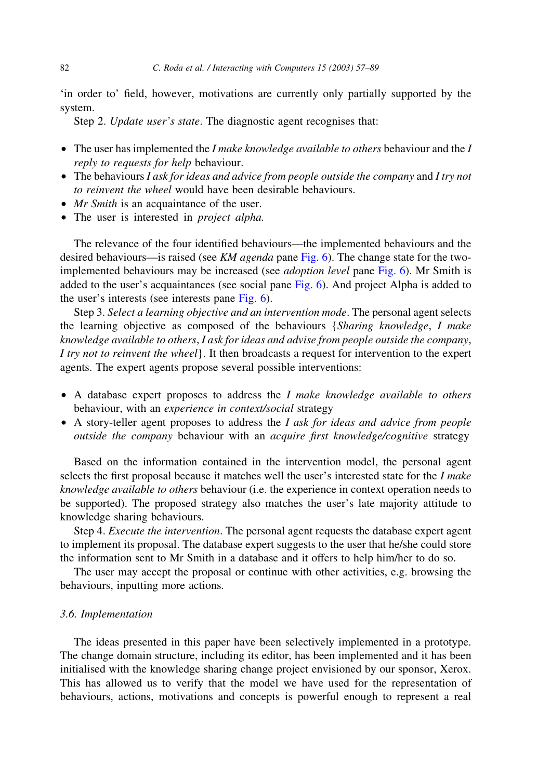'in order to' field, however, motivations are currently only partially supported by the system.

Step 2. Update user's state. The diagnostic agent recognises that:

- $\bullet$  The user has implemented the I make knowledge available to others behaviour and the I reply to requests for help behaviour.
- $\bullet$  The behaviours I ask for ideas and advice from people outside the company and I try not to reinvent the wheel would have been desirable behaviours.
- $\bullet$  *Mr Smith* is an acquaintance of the user.
- The user is interested in *project alpha*.

The relevance of the four identified behaviours—the implemented behaviours and the desired behaviours—is raised (see  $KM$  agenda pane [Fig. 6\)](#page-23-0). The change state for the twoimplemented behaviours may be increased (see adoption level pane [Fig. 6\)](#page-23-0). Mr Smith is added to the user's acquaintances (see social pane [Fig. 6\)](#page-23-0). And project Alpha is added to the user's interests (see interests pane [Fig. 6](#page-23-0)).

Step 3. Select a learning objective and an intervention mode. The personal agent selects the learning objective as composed of the behaviours {Sharing knowledge, I make knowledge available to others, I ask for ideas and advise from people outside the company, I try not to reinvent the wheel. It then broadcasts a request for intervention to the expert agents. The expert agents propose several possible interventions:

- $\bullet$  A database expert proposes to address the I make knowledge available to others behaviour, with an experience in context/social strategy
- $\bullet$  A story-teller agent proposes to address the I ask for ideas and advice from people outside the company behaviour with an acquire first knowledge/cognitive strategy

Based on the information contained in the intervention model, the personal agent selects the first proposal because it matches well the user's interested state for the  $I$  make knowledge available to others behaviour (i.e. the experience in context operation needs to be supported). The proposed strategy also matches the user's late majority attitude to knowledge sharing behaviours.

Step 4. Execute the intervention. The personal agent requests the database expert agent to implement its proposal. The database expert suggests to the user that he/she could store the information sent to Mr Smith in a database and it offers to help him/her to do so.

The user may accept the proposal or continue with other activities, e.g. browsing the behaviours, inputting more actions.

# 3.6. Implementation

The ideas presented in this paper have been selectively implemented in a prototype. The change domain structure, including its editor, has been implemented and it has been initialised with the knowledge sharing change project envisioned by our sponsor, Xerox. This has allowed us to verify that the model we have used for the representation of behaviours, actions, motivations and concepts is powerful enough to represent a real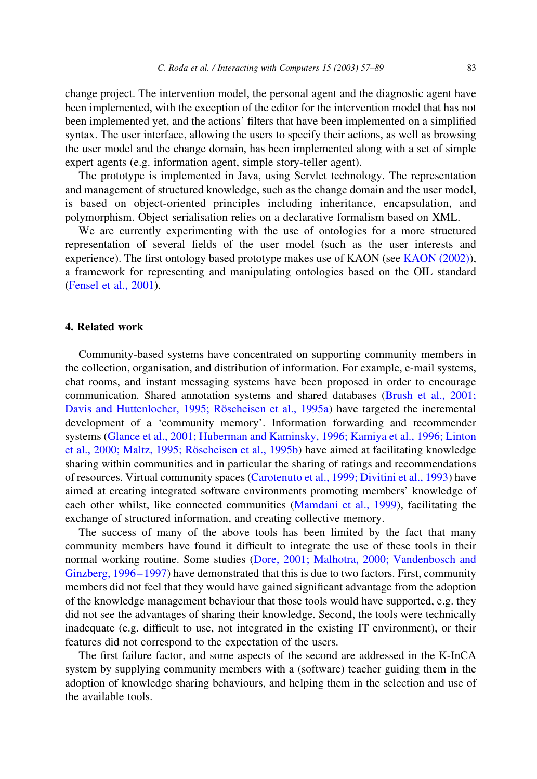change project. The intervention model, the personal agent and the diagnostic agent have been implemented, with the exception of the editor for the intervention model that has not been implemented yet, and the actions' filters that have been implemented on a simplified syntax. The user interface, allowing the users to specify their actions, as well as browsing the user model and the change domain, has been implemented along with a set of simple expert agents (e.g. information agent, simple story-teller agent).

The prototype is implemented in Java, using Servlet technology. The representation and management of structured knowledge, such as the change domain and the user model, is based on object-oriented principles including inheritance, encapsulation, and polymorphism. Object serialisation relies on a declarative formalism based on XML.

We are currently experimenting with the use of ontologies for a more structured representation of several fields of the user model (such as the user interests and experience). The first ontology based prototype makes use of KAON (see [KAON \(2002\)\)](#page-30-0), a framework for representing and manipulating ontologies based on the OIL standard [\(Fensel et al., 2001\)](#page-30-0).

# 4. Related work

Community-based systems have concentrated on supporting community members in the collection, organisation, and distribution of information. For example, e-mail systems, chat rooms, and instant messaging systems have been proposed in order to encourage communication. Shared annotation systems and shared databases [\(Brush et al., 2001;](#page-29-0) Davis and Huttenlocher, 1995; Röscheisen et al., 1995a) have targeted the incremental development of a 'community memory'. Information forwarding and recommender systems ([Glance et al., 2001; Huberman and Kaminsky, 1996; Kamiya et al., 1996; Linton](#page-30-0) et al., 2000; Maltz, 1995; Röscheisen et al., 1995b) have aimed at facilitating knowledge sharing within communities and in particular the sharing of ratings and recommendations of resources. Virtual community spaces [\(Carotenuto et al., 1999; Divitini et al., 1993](#page-29-0)) have aimed at creating integrated software environments promoting members' knowledge of each other whilst, like connected communities ([Mamdani et al., 1999\)](#page-31-0), facilitating the exchange of structured information, and creating collective memory.

The success of many of the above tools has been limited by the fact that many community members have found it difficult to integrate the use of these tools in their normal working routine. Some studies [\(Dore, 2001; Malhotra, 2000; Vandenbosch and](#page-30-0) [Ginzberg, 1996–1997\)](#page-30-0) have demonstrated that this is due to two factors. First, community members did not feel that they would have gained significant advantage from the adoption of the knowledge management behaviour that those tools would have supported, e.g. they did not see the advantages of sharing their knowledge. Second, the tools were technically inadequate (e.g. difficult to use, not integrated in the existing IT environment), or their features did not correspond to the expectation of the users.

The first failure factor, and some aspects of the second are addressed in the K-InCA system by supplying community members with a (software) teacher guiding them in the adoption of knowledge sharing behaviours, and helping them in the selection and use of the available tools.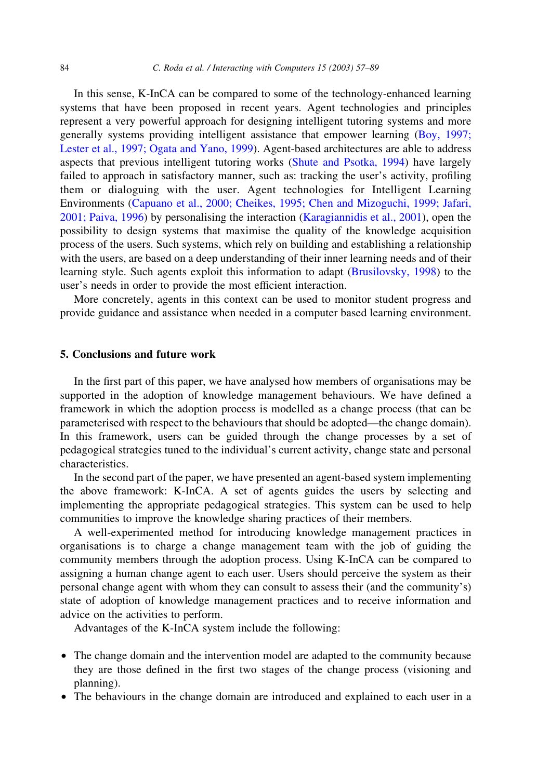In this sense, K-InCA can be compared to some of the technology-enhanced learning systems that have been proposed in recent years. Agent technologies and principles represent a very powerful approach for designing intelligent tutoring systems and more generally systems providing intelligent assistance that empower learning ([Boy, 1997;](#page-29-0) [Lester et al., 1997; Ogata and Yano, 1999\)](#page-29-0). Agent-based architectures are able to address aspects that previous intelligent tutoring works ([Shute and Psotka, 1994](#page-32-0)) have largely failed to approach in satisfactory manner, such as: tracking the user's activity, profiling them or dialoguing with the user. Agent technologies for Intelligent Learning Environments [\(Capuano et al., 2000; Cheikes, 1995; Chen and Mizoguchi, 1999; Jafari,](#page-29-0) [2001; Paiva, 1996](#page-29-0)) by personalising the interaction [\(Karagiannidis et al., 2001](#page-30-0)), open the possibility to design systems that maximise the quality of the knowledge acquisition process of the users. Such systems, which rely on building and establishing a relationship with the users, are based on a deep understanding of their inner learning needs and of their learning style. Such agents exploit this information to adapt [\(Brusilovsky, 1998\)](#page-29-0) to the user's needs in order to provide the most efficient interaction.

More concretely, agents in this context can be used to monitor student progress and provide guidance and assistance when needed in a computer based learning environment.

# 5. Conclusions and future work

In the first part of this paper, we have analysed how members of organisations may be supported in the adoption of knowledge management behaviours. We have defined a framework in which the adoption process is modelled as a change process (that can be parameterised with respect to the behaviours that should be adopted—the change domain). In this framework, users can be guided through the change processes by a set of pedagogical strategies tuned to the individual's current activity, change state and personal characteristics.

In the second part of the paper, we have presented an agent-based system implementing the above framework: K-InCA. A set of agents guides the users by selecting and implementing the appropriate pedagogical strategies. This system can be used to help communities to improve the knowledge sharing practices of their members.

A well-experimented method for introducing knowledge management practices in organisations is to charge a change management team with the job of guiding the community members through the adoption process. Using K-InCA can be compared to assigning a human change agent to each user. Users should perceive the system as their personal change agent with whom they can consult to assess their (and the community's) state of adoption of knowledge management practices and to receive information and advice on the activities to perform.

Advantages of the K-InCA system include the following:

- The change domain and the intervention model are adapted to the community because they are those defined in the first two stages of the change process (visioning and planning).
- The behaviours in the change domain are introduced and explained to each user in a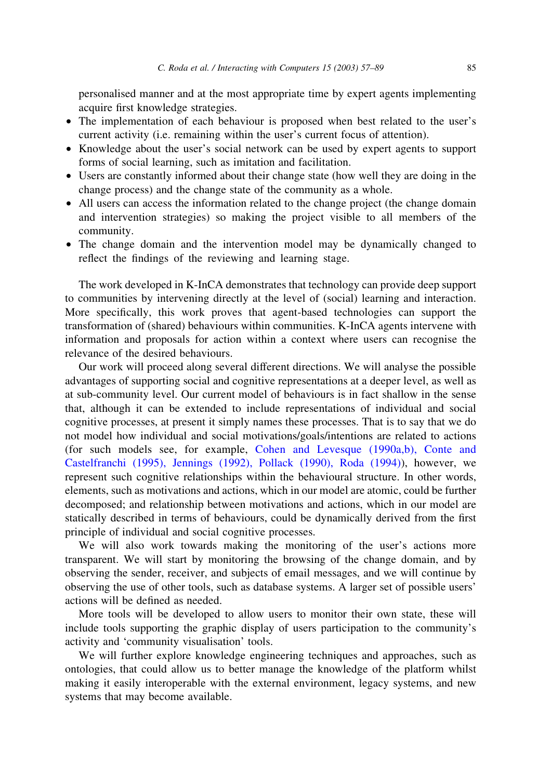personalised manner and at the most appropriate time by expert agents implementing acquire first knowledge strategies.

- The implementation of each behaviour is proposed when best related to the user's current activity (i.e. remaining within the user's current focus of attention).
- † Knowledge about the user's social network can be used by expert agents to support forms of social learning, such as imitation and facilitation.
- Users are constantly informed about their change state (how well they are doing in the change process) and the change state of the community as a whole.
- All users can access the information related to the change project (the change domain and intervention strategies) so making the project visible to all members of the community.
- The change domain and the intervention model may be dynamically changed to reflect the findings of the reviewing and learning stage.

The work developed in K-InCA demonstrates that technology can provide deep support to communities by intervening directly at the level of (social) learning and interaction. More specifically, this work proves that agent-based technologies can support the transformation of (shared) behaviours within communities. K-InCA agents intervene with information and proposals for action within a context where users can recognise the relevance of the desired behaviours.

Our work will proceed along several different directions. We will analyse the possible advantages of supporting social and cognitive representations at a deeper level, as well as at sub-community level. Our current model of behaviours is in fact shallow in the sense that, although it can be extended to include representations of individual and social cognitive processes, at present it simply names these processes. That is to say that we do not model how individual and social motivations/goals/intentions are related to actions (for such models see, for example, [Cohen and Levesque \(1990a,b\), Conte and](#page-29-0) [Castelfranchi \(1995\), Jennings \(1992\), Pollack \(1990\), Roda \(1994\)\)](#page-29-0), however, we represent such cognitive relationships within the behavioural structure. In other words, elements, such as motivations and actions, which in our model are atomic, could be further decomposed; and relationship between motivations and actions, which in our model are statically described in terms of behaviours, could be dynamically derived from the first principle of individual and social cognitive processes.

We will also work towards making the monitoring of the user's actions more transparent. We will start by monitoring the browsing of the change domain, and by observing the sender, receiver, and subjects of email messages, and we will continue by observing the use of other tools, such as database systems. A larger set of possible users' actions will be defined as needed.

More tools will be developed to allow users to monitor their own state, these will include tools supporting the graphic display of users participation to the community's activity and 'community visualisation' tools.

We will further explore knowledge engineering techniques and approaches, such as ontologies, that could allow us to better manage the knowledge of the platform whilst making it easily interoperable with the external environment, legacy systems, and new systems that may become available.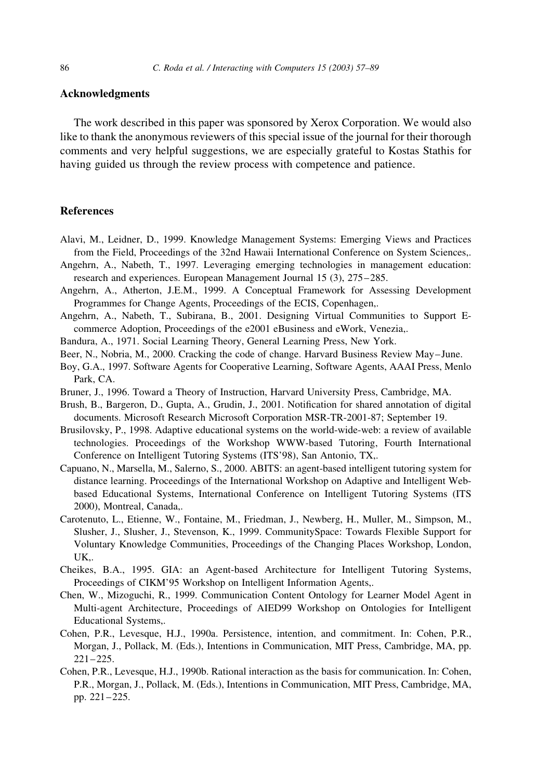# <span id="page-29-0"></span>Acknowledgments

The work described in this paper was sponsored by Xerox Corporation. We would also like to thank the anonymous reviewers of this special issue of the journal for their thorough comments and very helpful suggestions, we are especially grateful to Kostas Stathis for having guided us through the review process with competence and patience.

# References

- Alavi, M., Leidner, D., 1999. Knowledge Management Systems: Emerging Views and Practices from the Field, Proceedings of the 32nd Hawaii International Conference on System Sciences,.
- Angehrn, A., Nabeth, T., 1997. Leveraging emerging technologies in management education: research and experiences. European Management Journal 15 (3), 275–285.
- Angehrn, A., Atherton, J.E.M., 1999. A Conceptual Framework for Assessing Development Programmes for Change Agents, Proceedings of the ECIS, Copenhagen,.
- Angehrn, A., Nabeth, T., Subirana, B., 2001. Designing Virtual Communities to Support Ecommerce Adoption, Proceedings of the e2001 eBusiness and eWork, Venezia,.
- Bandura, A., 1971. Social Learning Theory, General Learning Press, New York.
- Beer, N., Nobria, M., 2000. Cracking the code of change. Harvard Business Review May–June.
- Boy, G.A., 1997. Software Agents for Cooperative Learning, Software Agents, AAAI Press, Menlo Park, CA.
- Bruner, J., 1996. Toward a Theory of Instruction, Harvard University Press, Cambridge, MA.
- Brush, B., Bargeron, D., Gupta, A., Grudin, J., 2001. Notification for shared annotation of digital documents. Microsoft Research Microsoft Corporation MSR-TR-2001-87; September 19.
- Brusilovsky, P., 1998. Adaptive educational systems on the world-wide-web: a review of available technologies. Proceedings of the Workshop WWW-based Tutoring, Fourth International Conference on Intelligent Tutoring Systems (ITS'98), San Antonio, TX,.
- Capuano, N., Marsella, M., Salerno, S., 2000. ABITS: an agent-based intelligent tutoring system for distance learning. Proceedings of the International Workshop on Adaptive and Intelligent Webbased Educational Systems, International Conference on Intelligent Tutoring Systems (ITS 2000), Montreal, Canada,.
- Carotenuto, L., Etienne, W., Fontaine, M., Friedman, J., Newberg, H., Muller, M., Simpson, M., Slusher, J., Slusher, J., Stevenson, K., 1999. CommunitySpace: Towards Flexible Support for Voluntary Knowledge Communities, Proceedings of the Changing Places Workshop, London, UK,.
- Cheikes, B.A., 1995. GIA: an Agent-based Architecture for Intelligent Tutoring Systems, Proceedings of CIKM'95 Workshop on Intelligent Information Agents,.
- Chen, W., Mizoguchi, R., 1999. Communication Content Ontology for Learner Model Agent in Multi-agent Architecture, Proceedings of AIED99 Workshop on Ontologies for Intelligent Educational Systems,.
- Cohen, P.R., Levesque, H.J., 1990a. Persistence, intention, and commitment. In: Cohen, P.R., Morgan, J., Pollack, M. (Eds.), Intentions in Communication, MIT Press, Cambridge, MA, pp. 221–225.
- Cohen, P.R., Levesque, H.J., 1990b. Rational interaction as the basis for communication. In: Cohen, P.R., Morgan, J., Pollack, M. (Eds.), Intentions in Communication, MIT Press, Cambridge, MA, pp. 221–225.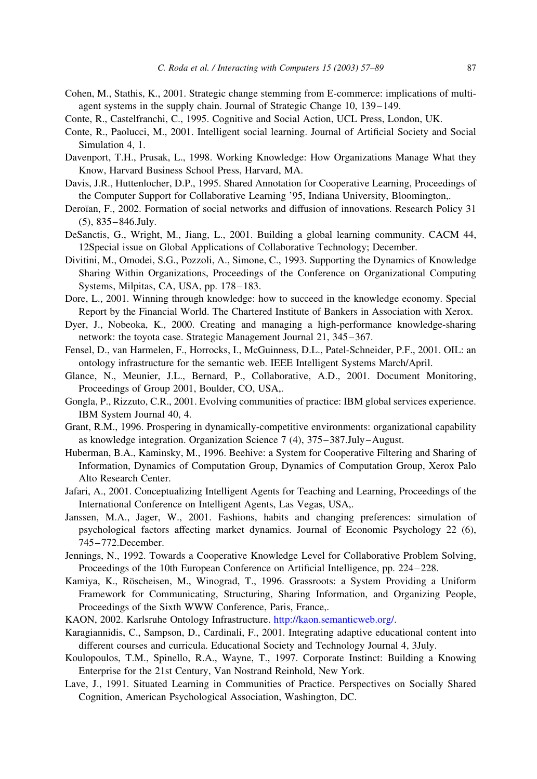- <span id="page-30-0"></span>Cohen, M., Stathis, K., 2001. Strategic change stemming from E-commerce: implications of multiagent systems in the supply chain. Journal of Strategic Change 10, 139–149.
- Conte, R., Castelfranchi, C., 1995. Cognitive and Social Action, UCL Press, London, UK.
- Conte, R., Paolucci, M., 2001. Intelligent social learning. Journal of Artificial Society and Social Simulation 4, 1.
- Davenport, T.H., Prusak, L., 1998. Working Knowledge: How Organizations Manage What they Know, Harvard Business School Press, Harvard, MA.
- Davis, J.R., Huttenlocher, D.P., 1995. Shared Annotation for Cooperative Learning, Proceedings of the Computer Support for Collaborative Learning '95, Indiana University, Bloomington,.
- Deroïan, F., 2002. Formation of social networks and diffusion of innovations. Research Policy 31 (5), 835–846.July.
- DeSanctis, G., Wright, M., Jiang, L., 2001. Building a global learning community. CACM 44, 12Special issue on Global Applications of Collaborative Technology; December.
- Divitini, M., Omodei, S.G., Pozzoli, A., Simone, C., 1993. Supporting the Dynamics of Knowledge Sharing Within Organizations, Proceedings of the Conference on Organizational Computing Systems, Milpitas, CA, USA, pp. 178–183.
- Dore, L., 2001. Winning through knowledge: how to succeed in the knowledge economy. Special Report by the Financial World. The Chartered Institute of Bankers in Association with Xerox.
- Dyer, J., Nobeoka, K., 2000. Creating and managing a high-performance knowledge-sharing network: the toyota case. Strategic Management Journal 21, 345–367.
- Fensel, D., van Harmelen, F., Horrocks, I., McGuinness, D.L., Patel-Schneider, P.F., 2001. OIL: an ontology infrastructure for the semantic web. IEEE Intelligent Systems March/April.
- Glance, N., Meunier, J.L., Bernard, P., Collaborative, A.D., 2001. Document Monitoring, Proceedings of Group 2001, Boulder, CO, USA,.
- Gongla, P., Rizzuto, C.R., 2001. Evolving communities of practice: IBM global services experience. IBM System Journal 40, 4.
- Grant, R.M., 1996. Prospering in dynamically-competitive environments: organizational capability as knowledge integration. Organization Science 7 (4), 375–387.July–August.
- Huberman, B.A., Kaminsky, M., 1996. Beehive: a System for Cooperative Filtering and Sharing of Information, Dynamics of Computation Group, Dynamics of Computation Group, Xerox Palo Alto Research Center.
- Jafari, A., 2001. Conceptualizing Intelligent Agents for Teaching and Learning, Proceedings of the International Conference on Intelligent Agents, Las Vegas, USA,.
- Janssen, M.A., Jager, W., 2001. Fashions, habits and changing preferences: simulation of psychological factors affecting market dynamics. Journal of Economic Psychology 22 (6), 745–772.December.
- Jennings, N., 1992. Towards a Cooperative Knowledge Level for Collaborative Problem Solving, Proceedings of the 10th European Conference on Artificial Intelligence, pp. 224–228.
- Kamiya, K., Röscheisen, M., Winograd, T., 1996. Grassroots: a System Providing a Uniform Framework for Communicating, Structuring, Sharing Information, and Organizing People, Proceedings of the Sixth WWW Conference, Paris, France,.
- KAON, 2002. Karlsruhe Ontology Infrastructure. [http://kaon.semanticweb.org/.](http://kaon.semanticweb.org/)
- Karagiannidis, C., Sampson, D., Cardinali, F., 2001. Integrating adaptive educational content into different courses and curricula. Educational Society and Technology Journal 4, 3July.
- Koulopoulos, T.M., Spinello, R.A., Wayne, T., 1997. Corporate Instinct: Building a Knowing Enterprise for the 21st Century, Van Nostrand Reinhold, New York.
- Lave, J., 1991. Situated Learning in Communities of Practice. Perspectives on Socially Shared Cognition, American Psychological Association, Washington, DC.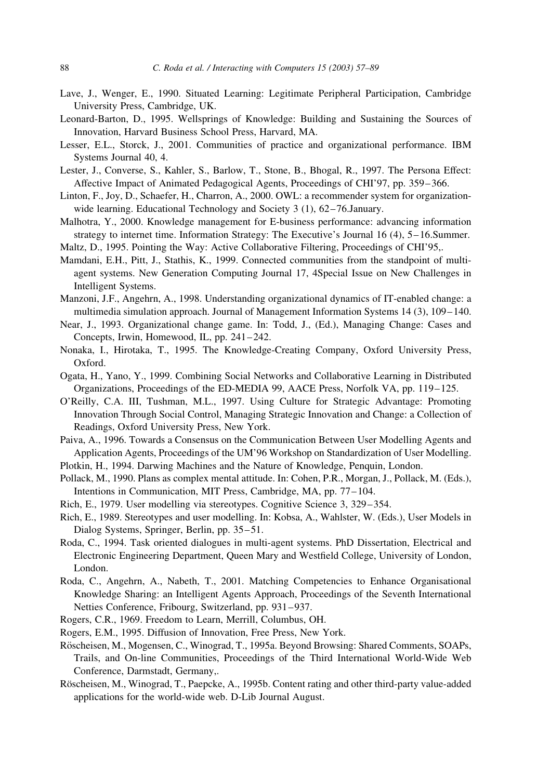- <span id="page-31-0"></span>Lave, J., Wenger, E., 1990. Situated Learning: Legitimate Peripheral Participation, Cambridge University Press, Cambridge, UK.
- Leonard-Barton, D., 1995. Wellsprings of Knowledge: Building and Sustaining the Sources of Innovation, Harvard Business School Press, Harvard, MA.
- Lesser, E.L., Storck, J., 2001. Communities of practice and organizational performance. IBM Systems Journal 40, 4.
- Lester, J., Converse, S., Kahler, S., Barlow, T., Stone, B., Bhogal, R., 1997. The Persona Effect: Affective Impact of Animated Pedagogical Agents, Proceedings of CHI'97, pp. 359–366.
- Linton, F., Joy, D., Schaefer, H., Charron, A., 2000. OWL: a recommender system for organizationwide learning. Educational Technology and Society 3 (1), 62–76.January.
- Malhotra, Y., 2000. Knowledge management for E-business performance: advancing information strategy to internet time. Information Strategy: The Executive's Journal 16 (4), 5–16.Summer.
- Maltz, D., 1995. Pointing the Way: Active Collaborative Filtering, Proceedings of CHI'95,.
- Mamdani, E.H., Pitt, J., Stathis, K., 1999. Connected communities from the standpoint of multiagent systems. New Generation Computing Journal 17, 4Special Issue on New Challenges in Intelligent Systems.
- Manzoni, J.F., Angehrn, A., 1998. Understanding organizational dynamics of IT-enabled change: a multimedia simulation approach. Journal of Management Information Systems 14 (3), 109–140.
- Near, J., 1993. Organizational change game. In: Todd, J., (Ed.), Managing Change: Cases and Concepts, Irwin, Homewood, IL, pp. 241–242.
- Nonaka, I., Hirotaka, T., 1995. The Knowledge-Creating Company, Oxford University Press, Oxford.
- Ogata, H., Yano, Y., 1999. Combining Social Networks and Collaborative Learning in Distributed Organizations, Proceedings of the ED-MEDIA 99, AACE Press, Norfolk VA, pp. 119–125.
- O'Reilly, C.A. III, Tushman, M.L., 1997. Using Culture for Strategic Advantage: Promoting Innovation Through Social Control, Managing Strategic Innovation and Change: a Collection of Readings, Oxford University Press, New York.
- Paiva, A., 1996. Towards a Consensus on the Communication Between User Modelling Agents and Application Agents, Proceedings of the UM'96 Workshop on Standardization of User Modelling.
- Plotkin, H., 1994. Darwing Machines and the Nature of Knowledge, Penquin, London.
- Pollack, M., 1990. Plans as complex mental attitude. In: Cohen, P.R., Morgan, J., Pollack, M. (Eds.), Intentions in Communication, MIT Press, Cambridge, MA, pp. 77–104.
- Rich, E., 1979. User modelling via stereotypes. Cognitive Science 3, 329–354.
- Rich, E., 1989. Stereotypes and user modelling. In: Kobsa, A., Wahlster, W. (Eds.), User Models in Dialog Systems, Springer, Berlin, pp. 35–51.
- Roda, C., 1994. Task oriented dialogues in multi-agent systems. PhD Dissertation, Electrical and Electronic Engineering Department, Queen Mary and Westfield College, University of London, London.
- Roda, C., Angehrn, A., Nabeth, T., 2001. Matching Competencies to Enhance Organisational Knowledge Sharing: an Intelligent Agents Approach, Proceedings of the Seventh International Netties Conference, Fribourg, Switzerland, pp. 931–937.
- Rogers, C.R., 1969. Freedom to Learn, Merrill, Columbus, OH.
- Rogers, E.M., 1995. Diffusion of Innovation, Free Press, New York.
- Röscheisen, M., Mogensen, C., Winograd, T., 1995a. Beyond Browsing: Shared Comments, SOAPs, Trails, and On-line Communities, Proceedings of the Third International World-Wide Web Conference, Darmstadt, Germany,.
- Röscheisen, M., Winograd, T., Paepcke, A., 1995b. Content rating and other third-party value-added applications for the world-wide web. D-Lib Journal August.